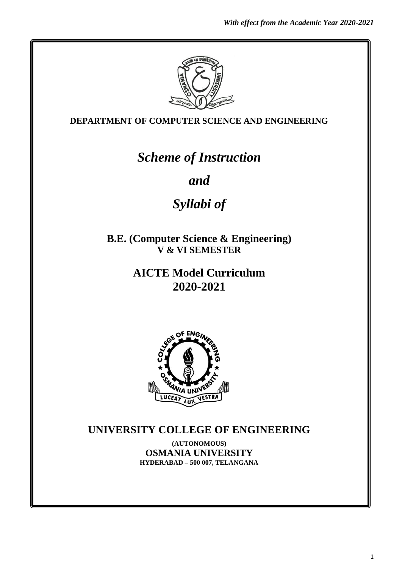

**DEPARTMENT OF COMPUTER SCIENCE AND ENGINEERING**

# *Scheme of Instruction*

*and*

# *Syllabi of*

**B.E. (Computer Science & Engineering) V & VI SEMESTER**

> **AICTE Model Curriculum 2020-2021**



# **UNIVERSITY COLLEGE OF ENGINEERING**

**(AUTONOMOUS) OSMANIA UNIVERSITY HYDERABAD – 500 007, TELANGANA**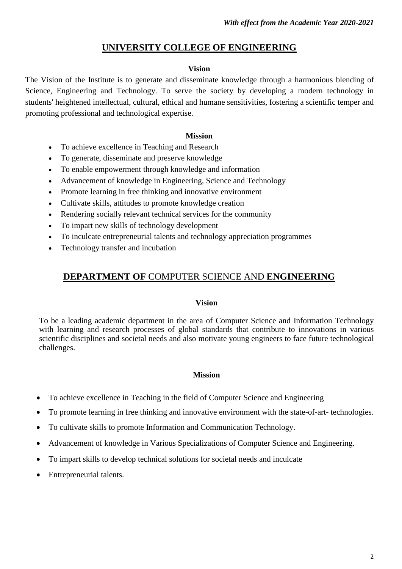# **UNIVERSITY COLLEGE OF ENGINEERING**

#### **Vision**

The Vision of the Institute is to generate and disseminate knowledge through a harmonious blending of Science, Engineering and Technology. To serve the society by developing a modern technology in students' heightened intellectual, cultural, ethical and humane sensitivities, fostering a scientific temper and promoting professional and technological expertise.

#### **Mission**

- To achieve excellence in Teaching and Research
- To generate, disseminate and preserve knowledge
- To enable empowerment through knowledge and information
- Advancement of knowledge in Engineering, Science and Technology
- Promote learning in free thinking and innovative environment
- Cultivate skills, attitudes to promote knowledge creation
- Rendering socially relevant technical services for the community
- To impart new skills of technology development
- To inculcate entrepreneurial talents and technology appreciation programmes
- Technology transfer and incubation

# **DEPARTMENT OF** COMPUTER SCIENCE AND **ENGINEERING**

#### **Vision**

To be a leading academic department in the area of Computer Science and Information Technology with learning and research processes of global standards that contribute to innovations in various scientific disciplines and societal needs and also motivate young engineers to face future technological challenges.

#### **Mission**

- To achieve excellence in Teaching in the field of Computer Science and Engineering
- To promote learning in free thinking and innovative environment with the state-of-art- technologies.
- To cultivate skills to promote Information and Communication Technology.
- Advancement of knowledge in Various Specializations of Computer Science and Engineering.
- To impart skills to develop technical solutions for societal needs and inculcate
- Entrepreneurial talents.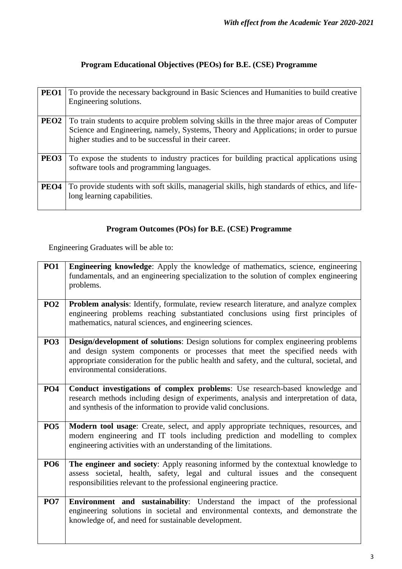# **Program Educational Objectives (PEOs) for B.E. (CSE) Programme**

| PEO1             | To provide the necessary background in Basic Sciences and Humanities to build creative<br>Engineering solutions.                                                                                                                          |
|------------------|-------------------------------------------------------------------------------------------------------------------------------------------------------------------------------------------------------------------------------------------|
| PEO <sub>2</sub> | To train students to acquire problem solving skills in the three major areas of Computer<br>Science and Engineering, namely, Systems, Theory and Applications; in order to pursue<br>higher studies and to be successful in their career. |
| PEO <sub>3</sub> | To expose the students to industry practices for building practical applications using<br>software tools and programming languages.                                                                                                       |
| PEO <sub>4</sub> | To provide students with soft skills, managerial skills, high standards of ethics, and life-<br>long learning capabilities.                                                                                                               |

# **Program Outcomes (POs) for B.E. (CSE) Programme**

Engineering Graduates will be able to:

| PO <sub>1</sub> | Engineering knowledge: Apply the knowledge of mathematics, science, engineering<br>fundamentals, and an engineering specialization to the solution of complex engineering<br>problems.                                                                                                             |
|-----------------|----------------------------------------------------------------------------------------------------------------------------------------------------------------------------------------------------------------------------------------------------------------------------------------------------|
| PO <sub>2</sub> | Problem analysis: Identify, formulate, review research literature, and analyze complex<br>engineering problems reaching substantiated conclusions using first principles of<br>mathematics, natural sciences, and engineering sciences.                                                            |
| PO <sub>3</sub> | Design/development of solutions: Design solutions for complex engineering problems<br>and design system components or processes that meet the specified needs with<br>appropriate consideration for the public health and safety, and the cultural, societal, and<br>environmental considerations. |
| <b>PO4</b>      | Conduct investigations of complex problems: Use research-based knowledge and<br>research methods including design of experiments, analysis and interpretation of data,<br>and synthesis of the information to provide valid conclusions.                                                           |
| PO <sub>5</sub> | Modern tool usage: Create, select, and apply appropriate techniques, resources, and<br>modern engineering and IT tools including prediction and modelling to complex<br>engineering activities with an understanding of the limitations.                                                           |
| PO <sub>6</sub> | The engineer and society: Apply reasoning informed by the contextual knowledge to<br>assess societal, health, safety, legal and cultural issues and the consequent<br>responsibilities relevant to the professional engineering practice.                                                          |
| PO <sub>7</sub> | Environment and sustainability: Understand the impact of the professional<br>engineering solutions in societal and environmental contexts, and demonstrate the<br>knowledge of, and need for sustainable development.                                                                              |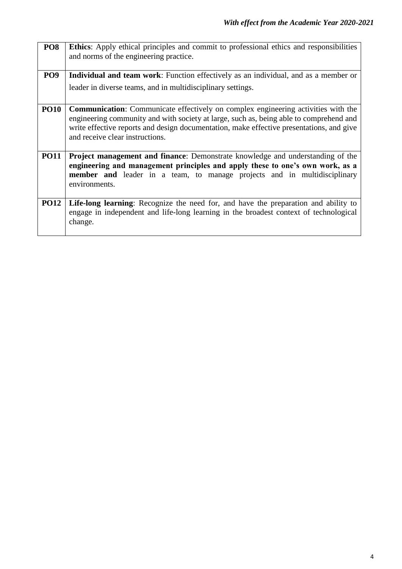| PO <sub>8</sub> | <b>Ethics:</b> Apply ethical principles and commit to professional ethics and responsibilities<br>and norms of the engineering practice.                                                                                                                                                                          |  |  |  |  |  |  |  |
|-----------------|-------------------------------------------------------------------------------------------------------------------------------------------------------------------------------------------------------------------------------------------------------------------------------------------------------------------|--|--|--|--|--|--|--|
| PO <sub>9</sub> | <b>Individual and team work:</b> Function effectively as an individual, and as a member or                                                                                                                                                                                                                        |  |  |  |  |  |  |  |
|                 | leader in diverse teams, and in multidisciplinary settings.                                                                                                                                                                                                                                                       |  |  |  |  |  |  |  |
| <b>PO10</b>     | <b>Communication:</b> Communicate effectively on complex engineering activities with the<br>engineering community and with society at large, such as, being able to comprehend and<br>write effective reports and design documentation, make effective presentations, and give<br>and receive clear instructions. |  |  |  |  |  |  |  |
| <b>PO11</b>     | Project management and finance: Demonstrate knowledge and understanding of the                                                                                                                                                                                                                                    |  |  |  |  |  |  |  |
|                 | engineering and management principles and apply these to one's own work, as a<br>member and leader in a team, to manage projects and in multidisciplinary<br>environments.                                                                                                                                        |  |  |  |  |  |  |  |
| <b>PO12</b>     | Life-long learning: Recognize the need for, and have the preparation and ability to<br>engage in independent and life-long learning in the broadest context of technological<br>change.                                                                                                                           |  |  |  |  |  |  |  |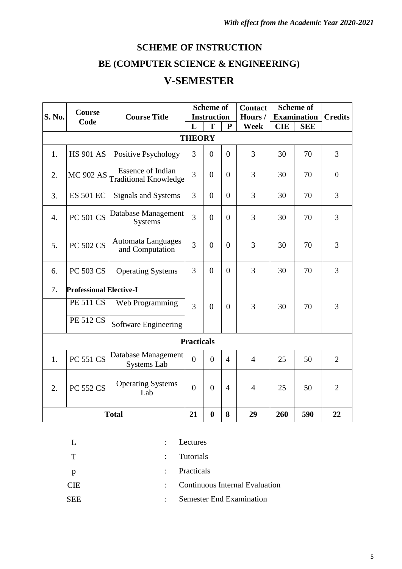# **SCHEME OF INSTRUCTION BE (COMPUTER SCIENCE & ENGINEERING) V**-**SEMESTER**

|                  | <b>Course</b>                  |                                                          | <b>Scheme of</b><br><b>Instruction</b> |                |                | <b>Contact</b> | <b>Scheme of</b> |                    |                |  |
|------------------|--------------------------------|----------------------------------------------------------|----------------------------------------|----------------|----------------|----------------|------------------|--------------------|----------------|--|
| <b>S. No.</b>    | Code                           | <b>Course Title</b>                                      |                                        |                |                | Hours/         |                  | <b>Examination</b> | <b>Credits</b> |  |
|                  |                                |                                                          | L                                      | T              | ${\bf P}$      | <b>Week</b>    | <b>CIE</b>       | <b>SEE</b>         |                |  |
|                  |                                |                                                          | <b>THEORY</b>                          |                |                |                |                  |                    |                |  |
| 1.               | <b>HS 901 AS</b>               | Positive Psychology                                      | 3                                      | $\theta$       | $\overline{0}$ | 3              | 30               | 70                 | 3              |  |
| 2.               | <b>MC 902 AS</b>               | <b>Essence of Indian</b><br><b>Traditional Knowledge</b> | 3                                      | $\overline{0}$ | $\Omega$       | 3              | 30               | 70                 | $\overline{0}$ |  |
| 3.               | <b>ES 501 EC</b>               | Signals and Systems                                      | 3                                      | $\overline{0}$ | $\overline{0}$ | 3              | 30               | 70                 | $\overline{3}$ |  |
| $\overline{4}$ . | <b>PC 501 CS</b>               | Database Management<br><b>Systems</b>                    | $\overline{3}$                         | $\overline{0}$ | $\theta$       | 3              | 30               | 70                 | 3              |  |
| 5.               | <b>PC 502 CS</b>               | Automata Languages<br>and Computation                    | 3                                      | $\overline{0}$ | $\overline{0}$ | 3              | 30               | 70                 | 3              |  |
| 6.               | PC 503 CS                      | <b>Operating Systems</b>                                 | 3                                      | $\overline{0}$ | $\overline{0}$ | 3              | 30               | 70                 | 3              |  |
| 7.               | <b>Professional Elective-I</b> |                                                          |                                        |                |                |                |                  |                    |                |  |
|                  | <b>PE 511 CS</b>               | Web Programming                                          | 3                                      | $\overline{0}$ | $\Omega$       | 3              | 30               | 70                 | 3              |  |
|                  | <b>PE 512 CS</b>               | Software Engineering                                     |                                        |                |                |                |                  |                    |                |  |
|                  | <b>Practicals</b>              |                                                          |                                        |                |                |                |                  |                    |                |  |
| 1.               | <b>PC 551 CS</b>               | Database Management<br><b>Systems Lab</b>                |                                        | $\overline{0}$ | $\overline{4}$ | $\overline{4}$ | 25               | 50                 | $\overline{2}$ |  |
| 2.               | <b>PC 552 CS</b>               | <b>Operating Systems</b><br>Lab                          | $\theta$                               | $\theta$       | $\overline{4}$ | $\overline{4}$ | 25               | 50                 | $\overline{2}$ |  |
|                  | <b>Total</b>                   | 21                                                       | $\boldsymbol{0}$                       | 8              | 29             | 260            | 590              | 22                 |                |  |

|              |                       | $\therefore$ Lectures            |
|--------------|-----------------------|----------------------------------|
| $\top$       |                       | : Tutorials                      |
| $\mathbf{p}$ |                       | : Practicals                     |
| <b>CIE</b>   |                       | : Continuous Internal Evaluation |
| <b>SEE</b>   | $\bullet$ . $\bullet$ | <b>Semester End Examination</b>  |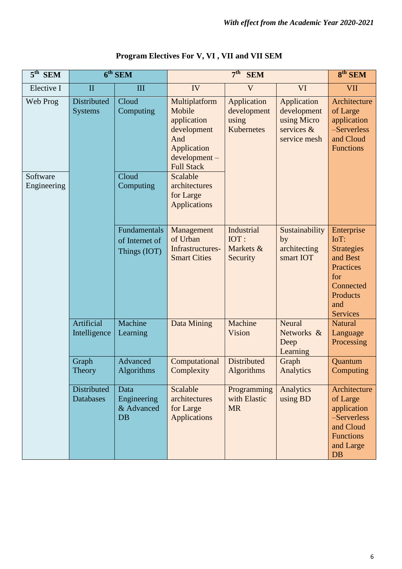| $5^{\text{th}}$ SEM     |                               | $6th$ SEM                                      |                                                                                                                  | $8th$ SEM                                         |                                                                            |                                                                                                                            |
|-------------------------|-------------------------------|------------------------------------------------|------------------------------------------------------------------------------------------------------------------|---------------------------------------------------|----------------------------------------------------------------------------|----------------------------------------------------------------------------------------------------------------------------|
| Elective I              | $\mathbf{I}$                  | III                                            | IV                                                                                                               | $\overline{\mathsf{V}}$                           | VI                                                                         | <b>VII</b>                                                                                                                 |
| Web Prog                | Distributed<br><b>Systems</b> | Cloud<br>Computing                             | Multiplatform<br>Mobile<br>application<br>development<br>And<br>Application<br>development-<br><b>Full Stack</b> | Application<br>development<br>using<br>Kubernetes | Application<br>development<br>using Micro<br>services $\&$<br>service mesh | Architecture<br>of Large<br>application<br>-Serverless<br>and Cloud<br><b>Functions</b>                                    |
| Software<br>Engineering |                               | Cloud<br>Computing                             | Scalable<br>architectures<br>for Large<br><b>Applications</b>                                                    |                                                   |                                                                            |                                                                                                                            |
|                         |                               | Fundamentals<br>of Internet of<br>Things (IOT) | Management<br>of Urban<br>Infrastructures-<br><b>Smart Cities</b>                                                | Industrial<br>IOT:<br>Markets &<br>Security       | Sustainability<br>by<br>architecting<br>smart IOT                          | Enterprise<br>IoT:<br><b>Strategies</b><br>and Best<br>Practices<br>for<br>Connected<br>Products<br>and<br><b>Services</b> |
|                         | Artificial<br>Intelligence    | Machine<br>Learning                            | Data Mining                                                                                                      | Machine<br>Vision                                 | Neural<br>Networks &<br>Deep<br>Learning                                   | <b>Natural</b><br>Language<br>Processing                                                                                   |
|                         | Graph<br>Theory               | Advanced<br><b>Algorithms</b>                  | Computational<br>Complexity                                                                                      | <b>Distributed</b><br>Algorithms                  | Graph<br>Analytics                                                         | Quantum<br>Computing                                                                                                       |
|                         | Distributed<br>Databases      | Data<br>Engineering<br>& Advanced<br><b>DB</b> | Scalable<br>architectures<br>for Large<br><b>Applications</b>                                                    | Programming<br>with Elastic<br><b>MR</b>          | Analytics<br>using BD                                                      | Architecture<br>of Large<br>application<br>-Serverless<br>and Cloud<br><b>Functions</b><br>and Large<br>DB                 |

# **Program Electives For V, VI , VII and VII SEM**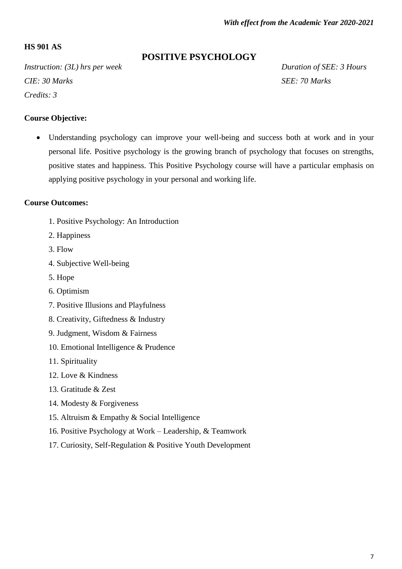# **HS 901 AS**

# **POSITIVE PSYCHOLOGY**

*Instruction: (3L) hrs per week Duration of SEE: 3 Hours CIE: 30 Marks* SEE: 70 *Marks Credits: 3*

#### **Course Objective:**

 Understanding psychology can improve your well-being and success both at work and in your personal life. Positive psychology is the growing branch of psychology that focuses on strengths, positive states and happiness. This Positive Psychology course will have a particular emphasis on applying positive psychology in your personal and working life.

#### **Course Outcomes:**

- 1. Positive Psychology: An Introduction
- 2. Happiness
- 3. Flow
- 4. Subjective Well-being
- 5. Hope
- 6. Optimism
- 7. Positive Illusions and Playfulness
- 8. Creativity, Giftedness & Industry
- 9. Judgment, Wisdom & Fairness
- 10. Emotional Intelligence & Prudence
- 11. Spirituality
- 12. Love & Kindness
- 13. Gratitude & Zest
- 14. Modesty & Forgiveness
- 15. Altruism & Empathy & Social Intelligence
- 16. Positive Psychology at Work Leadership, & Teamwork
- 17. Curiosity, Self-Regulation & Positive Youth Development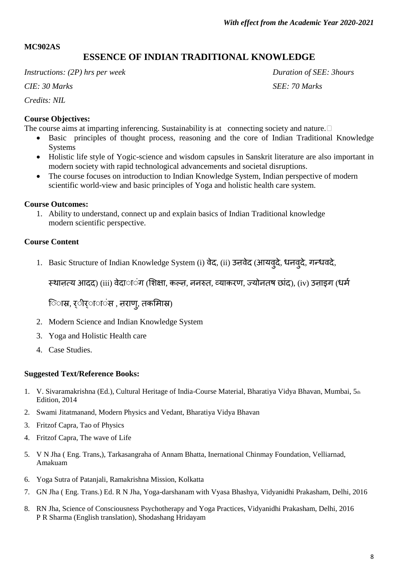# **MC902AS**

# **ESSENCE OF INDIAN TRADITIONAL KNOWLEDGE**

*Instructions: (2P) hrs per week Duration of SEE: 3hours*

*CIE: 30 Marks SEE: 70 Marks*

*Credits: NIL*

# **Course Objectives:**

The course aims at imparting inferencing. Sustainability is at connecting society and nature.  $\Box$ 

- Basic principles of thought process, reasoning and the core of Indian Traditional Knowledge Systems
- Holistic life style of Yogic-science and wisdom capsules in Sanskrit literature are also important in modern society with rapid technological advancements and societal disruptions.
- The course focuses on introduction to Indian Knowledge System, Indian perspective of modern scientific world-view and basic principles of Yoga and holistic health care system.

# **Course Outcomes:**

1. Ability to understand, connect up and explain basics of Indian Traditional knowledge modern scientific perspective.

# **Course Content**

1. Basic Structure of Indian Knowledge System (i) वेद, (ii) उऩवेद (आयवुदे, धनवुदे, गन्धवदे,

स्थानत्य आदद) (iii) वेदाा**ंग (शिक्षा, कल्न, ननरुत, व्याकरण, ज्योनत**ष छांद), (iv) उनाइग (धर्म

िास्र, र्ीर्ाां स, नराणु, तकमािस्र)

- 2. Modern Science and Indian Knowledge System
- 3. Yoga and Holistic Health care
- 4. Case Studies.

# **Suggested Text/Reference Books:**

- 1. V. Sivaramakrishna (Ed.), Cultural Heritage of India-Course Material, Bharatiya Vidya Bhavan, Mumbai, 5th Edition, 2014
- 2. Swami Jitatmanand, Modern Physics and Vedant, Bharatiya Vidya Bhavan
- 3. Fritzof Capra, Tao of Physics
- 4. Fritzof Capra, The wave of Life
- 5. V N Jha ( Eng. Trans,), Tarkasangraha of Annam Bhatta, Inernational Chinmay Foundation, Velliarnad, Amakuam
- 6. Yoga Sutra of Patanjali, Ramakrishna Mission, Kolkatta
- 7. GN Jha ( Eng. Trans.) Ed. R N Jha, Yoga-darshanam with Vyasa Bhashya, Vidyanidhi Prakasham, Delhi, 2016
- 8. RN Jha, Science of Consciousness Psychotherapy and Yoga Practices, Vidyanidhi Prakasham, Delhi, 2016 P R Sharma (English translation), Shodashang Hridayam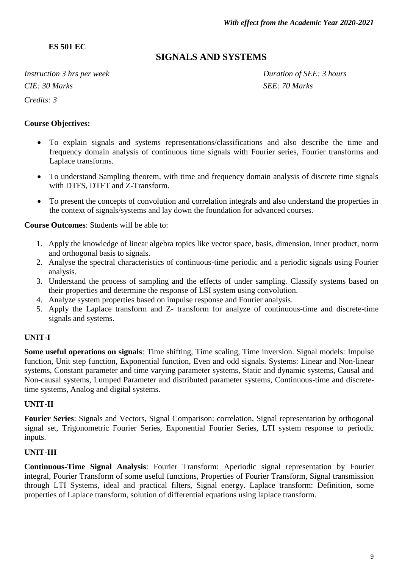**ES 501 EC**

# **SIGNALS AND SYSTEMS**

*Instruction 3 hrs per week Duration of SEE: 3 hours CIE: 30 Marks SEE: 70 Marks Credits: 3*

#### **Course Objectives:**

- To explain signals and systems representations/classifications and also describe the time and frequency domain analysis of continuous time signals with Fourier series, Fourier transforms and Laplace transforms.
- To understand Sampling theorem, with time and frequency domain analysis of discrete time signals with DTFS, DTFT and Z-Transform.
- To present the concepts of convolution and correlation integrals and also understand the properties in the context of signals/systems and lay down the foundation for advanced courses.

#### **Course Outcomes**: Students will be able to:

- 1. Apply the knowledge of linear algebra topics like vector space, basis, dimension, inner product, norm and orthogonal basis to signals.
- 2. Analyse the spectral characteristics of continuous-time periodic and a periodic signals using Fourier analysis.
- 3. Understand the process of sampling and the effects of under sampling. Classify systems based on their properties and determine the response of LSI system using convolution.
- 4. Analyze system properties based on impulse response and Fourier analysis.
- 5. Apply the Laplace transform and Z- transform for analyze of continuous-time and discrete-time signals and systems.

#### **UNIT-I**

**Some useful operations on signals**: Time shifting, Time scaling, Time inversion. Signal models: Impulse function, Unit step function, Exponential function, Even and odd signals. Systems: Linear and Non-linear systems, Constant parameter and time varying parameter systems, Static and dynamic systems, Causal and Non-causal systems, Lumped Parameter and distributed parameter systems, Continuous-time and discretetime systems, Analog and digital systems.

#### **UNIT-II**

**Fourier Series**: Signals and Vectors, Signal Comparison: correlation, Signal representation by orthogonal signal set, Trigonometric Fourier Series, Exponential Fourier Series, LTI system response to periodic inputs.

#### **UNIT-III**

**Continuous-Time Signal Analysis**: Fourier Transform: Aperiodic signal representation by Fourier integral, Fourier Transform of some useful functions, Properties of Fourier Transform, Signal transmission through LTI Systems, ideal and practical filters, Signal energy. Laplace transform: Definition, some properties of Laplace transform, solution of differential equations using laplace transform.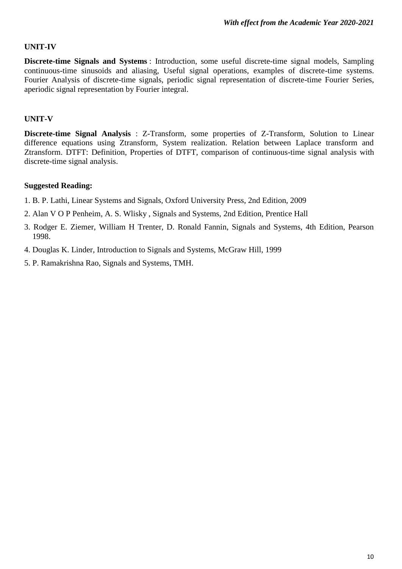#### **UNIT-IV**

**Discrete-time Signals and Systems** : Introduction, some useful discrete-time signal models, Sampling continuous-time sinusoids and aliasing, Useful signal operations, examples of discrete-time systems. Fourier Analysis of discrete-time signals, periodic signal representation of discrete-time Fourier Series, aperiodic signal representation by Fourier integral.

#### **UNIT-V**

**Discrete-time Signal Analysis** : Z-Transform, some properties of Z-Transform, Solution to Linear difference equations using Ztransform, System realization. Relation between Laplace transform and Ztransform. DTFT: Definition, Properties of DTFT, comparison of continuous-time signal analysis with discrete-time signal analysis.

- 1. B. P. Lathi, Linear Systems and Signals, Oxford University Press, 2nd Edition, 2009
- 2. Alan V O P Penheim, A. S. Wlisky , Signals and Systems, 2nd Edition, Prentice Hall
- 3. Rodger E. Ziemer, William H Trenter, D. Ronald Fannin, Signals and Systems, 4th Edition, Pearson 1998.
- 4. Douglas K. Linder, Introduction to Signals and Systems, McGraw Hill, 1999
- 5. P. Ramakrishna Rao, Signals and Systems, TMH.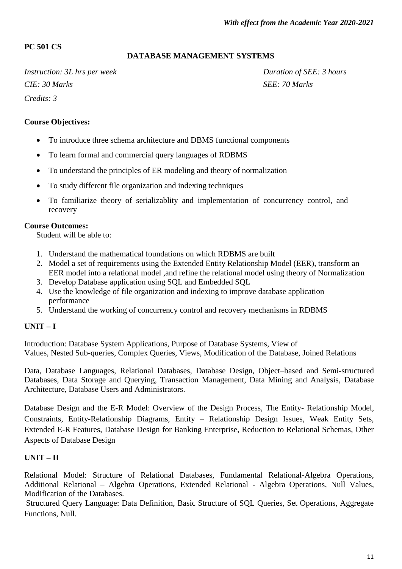# **PC 501 CS**

#### **DATABASE MANAGEMENT SYSTEMS**

*Instruction: 3L hrs per week Duration of SEE: 3 hours CIE: 30 Marks SEE: 70 Marks Credits: 3*

#### **Course Objectives:**

- To introduce three schema architecture and DBMS functional components
- To learn formal and commercial query languages of RDBMS
- To understand the principles of ER modeling and theory of normalization
- To study different file organization and indexing techniques
- To familiarize theory of serializablity and implementation of concurrency control, and recovery

#### **Course Outcomes:**

Student will be able to:

- 1. Understand the mathematical foundations on which RDBMS are built
- 2. Model a set of requirements using the Extended Entity Relationship Model (EER), transform an EER model into a relational model ,and refine the relational model using theory of Normalization
- 3. Develop Database application using SQL and Embedded SQL
- 4. Use the knowledge of file organization and indexing to improve database application performance
- 5. Understand the working of concurrency control and recovery mechanisms in RDBMS

# **UNIT – I**

Introduction: Database System Applications, Purpose of Database Systems, View of Values, Nested Sub-queries, Complex Queries, Views, Modification of the Database, Joined Relations

Data, Database Languages, Relational Databases, Database Design, Object–based and Semi-structured Databases, Data Storage and Querying, Transaction Management, Data Mining and Analysis, Database Architecture, Database Users and Administrators.

Database Design and the E-R Model: Overview of the Design Process, The Entity- Relationship Model, Constraints, Entity-Relationship Diagrams, Entity – Relationship Design Issues, Weak Entity Sets, Extended E-R Features, Database Design for Banking Enterprise, Reduction to Relational Schemas, Other Aspects of Database Design

#### **UNIT – II**

Relational Model: Structure of Relational Databases, Fundamental Relational-Algebra Operations, Additional Relational – Algebra Operations, Extended Relational - Algebra Operations, Null Values, Modification of the Databases.

Structured Query Language: Data Definition, Basic Structure of SQL Queries, Set Operations, Aggregate Functions, Null.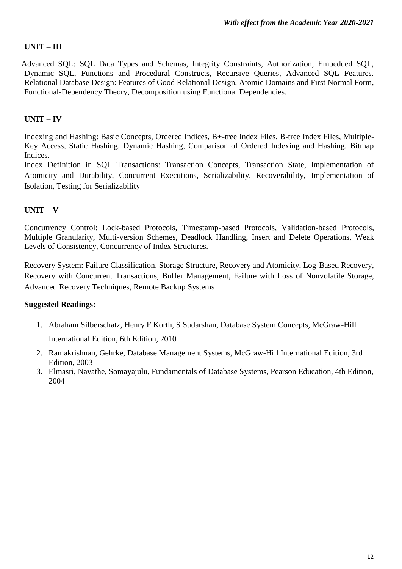# **UNIT – III**

Advanced SQL: SQL Data Types and Schemas, Integrity Constraints, Authorization, Embedded SQL, Dynamic SQL, Functions and Procedural Constructs, Recursive Queries, Advanced SQL Features. Relational Database Design: Features of Good Relational Design, Atomic Domains and First Normal Form, Functional-Dependency Theory, Decomposition using Functional Dependencies.

# **UNIT – IV**

Indexing and Hashing: Basic Concepts, Ordered Indices, B+-tree Index Files, B-tree Index Files, Multiple-Key Access, Static Hashing, Dynamic Hashing, Comparison of Ordered Indexing and Hashing, Bitmap Indices.

Index Definition in SQL Transactions: Transaction Concepts, Transaction State, Implementation of Atomicity and Durability, Concurrent Executions, Serializability, Recoverability, Implementation of Isolation, Testing for Serializability

# **UNIT – V**

Concurrency Control: Lock-based Protocols, Timestamp-based Protocols, Validation-based Protocols, Multiple Granularity, Multi-version Schemes, Deadlock Handling, Insert and Delete Operations, Weak Levels of Consistency, Concurrency of Index Structures.

Recovery System: Failure Classification, Storage Structure, Recovery and Atomicity, Log-Based Recovery, Recovery with Concurrent Transactions, Buffer Management, Failure with Loss of Nonvolatile Storage, Advanced Recovery Techniques, Remote Backup Systems

- 1. Abraham Silberschatz, Henry F Korth, S Sudarshan, Database System Concepts, McGraw-Hill International Edition, 6th Edition, 2010
- 2. Ramakrishnan, Gehrke, Database Management Systems, McGraw-Hill International Edition, 3rd Edition, 2003
- 3. Elmasri, Navathe, Somayajulu, Fundamentals of Database Systems, Pearson Education, 4th Edition, 2004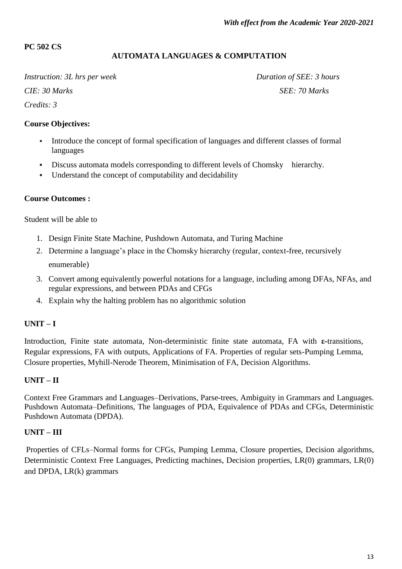#### **PC 502 CS**

#### **AUTOMATA LANGUAGES & COMPUTATION**

*Instruction: 3L* hrs per week Duration of SEE: *3 hours CIE:* 30 Marks SEE: 70 Marks *Credits: 3*

#### **Course Objectives:**

- $\bullet$ Introduce the concept of formal specification of languages and different classes of formal languages
- Discuss automata models corresponding to different levels of Chomsky hierarchy.
- Understand the concept of computability and decidability

#### **Course Outcomes :**

Student will be able to

- 1. Design Finite State Machine, Pushdown Automata, and Turing Machine
- 2. Determine a language"s place in the Chomsky hierarchy (regular, context-free, recursively enumerable)
- 3. Convert among equivalently powerful notations for a language, including among DFAs, NFAs, and regular expressions, and between PDAs and CFGs
- 4. Explain why the halting problem has no algorithmic solution

#### **UNIT – I**

Introduction, Finite state automata, Non-deterministic finite state automata, FA with **ε-**transitions, Regular expressions, FA with outputs, Applications of FA. Properties of regular sets-Pumping Lemma, Closure properties, Myhill-Nerode Theorem, Minimisation of FA, Decision Algorithms.

#### **UNIT – II**

Context Free Grammars and Languages–Derivations, Parse-trees, Ambiguity in Grammars and Languages. Pushdown Automata–Definitions, The languages of PDA, Equivalence of PDAs and CFGs, Deterministic Pushdown Automata (DPDA).

#### **UNIT – III**

Properties of CFLs–Normal forms for CFGs, Pumping Lemma, Closure properties, Decision algorithms, Deterministic Context Free Languages, Predicting machines, Decision properties, LR(0) grammars, LR(0) and DPDA, LR(k) grammars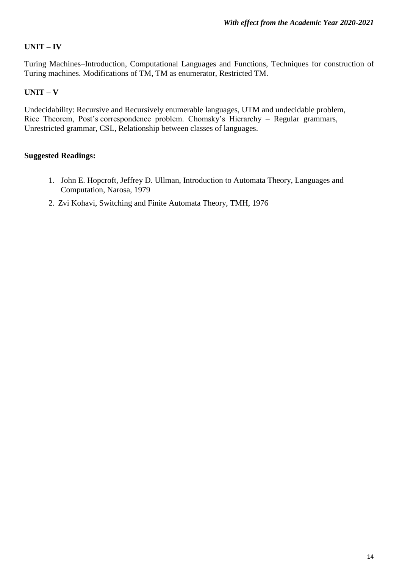# **UNIT – IV**

Turing Machines–Introduction, Computational Languages and Functions, Techniques for construction of Turing machines. Modifications of TM, TM as enumerator, Restricted TM.

#### **UNIT – V**

Undecidability: Recursive and Recursively enumerable languages, UTM and undecidable problem, Rice Theorem, Post's correspondence problem. Chomsky's Hierarchy - Regular grammars, Unrestricted grammar, CSL, Relationship between classes of languages.

- 1. John E. Hopcroft, Jeffrey D. Ullman, Introduction to Automata Theory, Languages and Computation, Narosa, 1979
- 2. Zvi Kohavi, Switching and Finite Automata Theory, TMH, 1976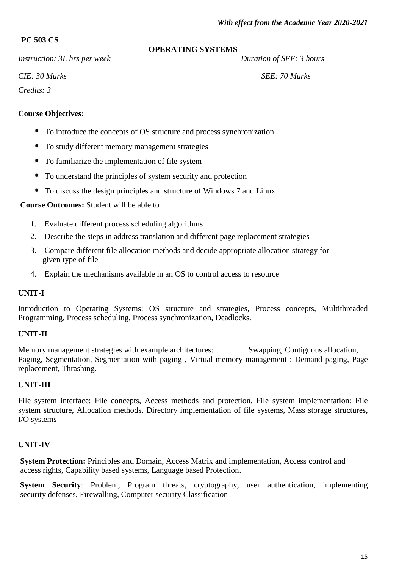# **PC 503 CS**

*Instruction: 3L hrs per week* Duration of *SEE: 3 hours* 

# **OPERATING SYSTEMS**

*CIE:* 30 *Marks* SEE: 70 *Marks* 

*Credits: 3*

# **Course Objectives:**

- To introduce the concepts of OS structure and process synchronization
- To study different memory management strategies
- $\bullet$ To familiarize the implementation of file system
- $\bullet$ To understand the principles of system security and protection
- To discuss the design principles and structure of Windows 7 and Linux

# **Course Outcomes:** Student will be able to

- 1. Evaluate different process scheduling algorithms
- 2. Describe the steps in address translation and different page replacement strategies
- 3. Compare different file allocation methods and decide appropriate allocation strategy for given type of file
- 4. Explain the mechanisms available in an OS to control access to resource

# **UNIT-I**

Introduction to Operating Systems: OS structure and strategies, Process concepts, Multithreaded Programming, Process scheduling, Process synchronization, Deadlocks.

# **UNIT-II**

Memory management strategies with example architectures: Swapping, Contiguous allocation, Paging, Segmentation, Segmentation with paging , Virtual memory management : Demand paging, Page replacement, Thrashing.

# **UNIT-III**

File system interface: File concepts, Access methods and protection. File system implementation: File system structure, Allocation methods, Directory implementation of file systems, Mass storage structures, I/O systems

# **UNIT-IV**

**System Protection:** Principles and Domain, Access Matrix and implementation, Access control and access rights, Capability based systems, Language based Protection.

**System Security**: Problem, Program threats, cryptography, user authentication, implementing security defenses, Firewalling, Computer security Classification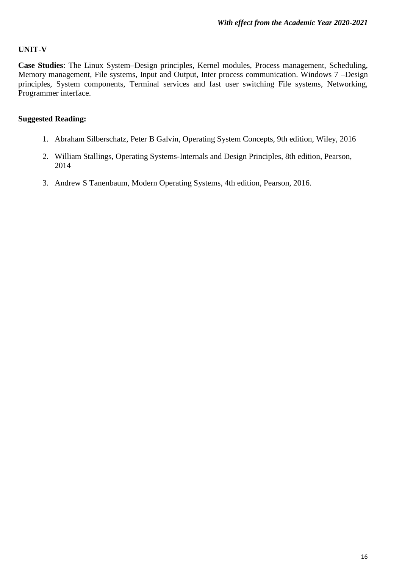# **UNIT-V**

**Case Studies**: The Linux System–Design principles, Kernel modules, Process management, Scheduling, Memory management, File systems, Input and Output, Inter process communication. Windows 7 –Design principles, System components, Terminal services and fast user switching File systems, Networking, Programmer interface.

- 1. Abraham Silberschatz, Peter B Galvin, Operating System Concepts, 9th edition, Wiley, 2016
- 2. William Stallings, Operating Systems-Internals and Design Principles, 8th edition, Pearson, 2014
- 3. Andrew S Tanenbaum, Modern Operating Systems, 4th edition, Pearson, 2016.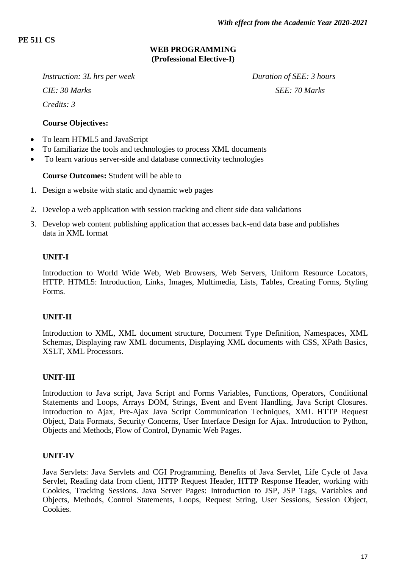# **PE 511 CS**

# **WEB PROGRAMMING (Professional Elective-I)**

*Instruction: 3L hrs per week Duration of SEE: 3 hours CIE:* 30 Marks SEE: 70 Marks *Credits: 3*

#### **Course Objectives:**

- To learn HTML5 and JavaScript
- To familiarize the tools and technologies to process XML documents
- To learn various server-side and database connectivity technologies

#### **Course Outcomes:** Student will be able to

- 1. Design a website with static and dynamic web pages
- 2. Develop a web application with session tracking and client side data validations
- 3. Develop web content publishing application that accesses back-end data base and publishes data in XML format

#### **UNIT-I**

Introduction to World Wide Web, Web Browsers, Web Servers, Uniform Resource Locators, HTTP. HTML5: Introduction, Links, Images, Multimedia, Lists, Tables, Creating Forms, Styling Forms.

#### **UNIT-II**

Introduction to XML, XML document structure, Document Type Definition, Namespaces, XML Schemas, Displaying raw XML documents, Displaying XML documents with CSS, XPath Basics, XSLT, XML Processors.

#### **UNIT-III**

Introduction to Java script, Java Script and Forms Variables, Functions, Operators, Conditional Statements and Loops, Arrays DOM, Strings, Event and Event Handling, Java Script Closures. Introduction to Ajax, Pre-Ajax Java Script Communication Techniques, XML HTTP Request Object, Data Formats, Security Concerns, User Interface Design for Ajax. Introduction to Python, Objects and Methods, Flow of Control, Dynamic Web Pages.

#### **UNIT-IV**

Java Servlets: Java Servlets and CGI Programming, Benefits of Java Servlet, Life Cycle of Java Servlet, Reading data from client, HTTP Request Header, HTTP Response Header, working with Cookies, Tracking Sessions. Java Server Pages: Introduction to JSP, JSP Tags, Variables and Objects, Methods, Control Statements, Loops, Request String, User Sessions, Session Object, Cookies.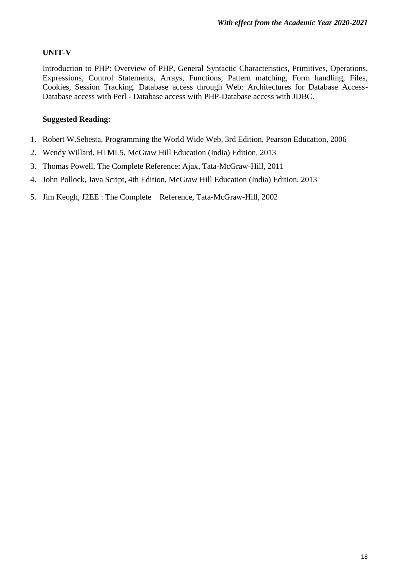#### **UNIT-V**

Introduction to PHP: Overview of PHP, General Syntactic Characteristics, Primitives, Operations, Expressions, Control Statements, Arrays, Functions, Pattern matching, Form handling, Files, Cookies, Session Tracking. Database access through Web: Architectures for Database Access-Database access with Perl - Database access with PHP-Database access with JDBC.

- 1. Robert W.Sebesta, Programming the World Wide Web, 3rd Edition, Pearson Education, 2006
- 2. Wendy Willard, HTML5, McGraw Hill Education (India) Edition, 2013
- 3. Thomas Powell, The Complete Reference: Ajax, Tata-McGraw-Hill, 2011
- 4. John Pollock, Java Script, 4th Edition, McGraw Hill Education (India) Edition, 2013
- 5. Jim Keogh, J2EE : The Complete Reference, Tata-McGraw-Hill, 2002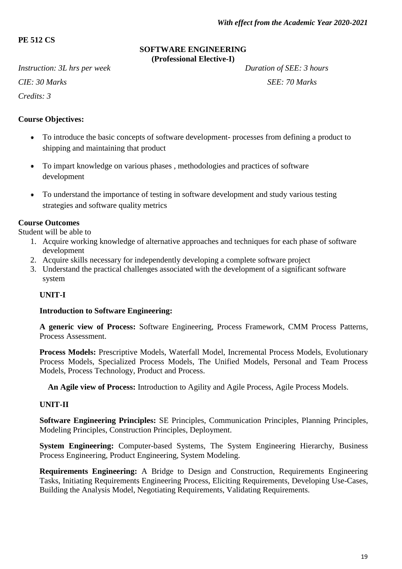# **PE 512 CS**

#### **SOFTWARE ENGINEERING (Professional Elective-I)**

*Instruction: 3L hrs per week Duration of SEE: 3 hours CIE:* 30 Marks SEE: *70 Marks Credits: 3*

# **Course Objectives:**

- To introduce the basic concepts of software development- processes from defining a product to  $\bullet$ shipping and maintaining that product
- To impart knowledge on various phases , methodologies and practices of software  $\bullet$ development
- $\bullet$ To understand the importance of testing in software development and study various testing strategies and software quality metrics

# **Course Outcomes**

Student will be able to

- 1. Acquire working knowledge of alternative approaches and techniques for each phase of software development
- 2. Acquire skills necessary for independently developing a complete software project
- 3. Understand the practical challenges associated with the development of a significant software system

# **UNIT-I**

#### **Introduction to Software Engineering:**

**A generic view of Process:** Software Engineering, Process Framework, CMM Process Patterns, Process Assessment.

**Process Models:** Prescriptive Models, Waterfall Model, Incremental Process Models, Evolutionary Process Models, Specialized Process Models, The Unified Models, Personal and Team Process Models, Process Technology, Product and Process.

**An Agile view of Process:** Introduction to Agility and Agile Process, Agile Process Models.

# **UNIT-II**

**Software Engineering Principles:** SE Principles, Communication Principles, Planning Principles, Modeling Principles, Construction Principles, Deployment.

**System Engineering:** Computer-based Systems, The System Engineering Hierarchy, Business Process Engineering, Product Engineering, System Modeling.

**Requirements Engineering:** A Bridge to Design and Construction, Requirements Engineering Tasks, Initiating Requirements Engineering Process, Eliciting Requirements, Developing Use-Cases, Building the Analysis Model, Negotiating Requirements, Validating Requirements.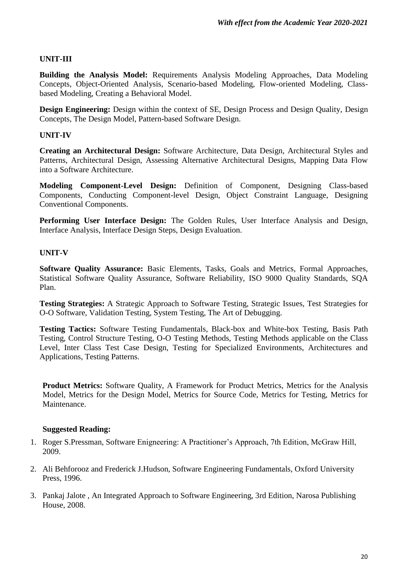# **UNIT-III**

**Building the Analysis Model:** Requirements Analysis Modeling Approaches, Data Modeling Concepts, Object-Oriented Analysis, Scenario-based Modeling, Flow-oriented Modeling, Classbased Modeling, Creating a Behavioral Model.

**Design Engineering:** Design within the context of SE, Design Process and Design Quality, Design Concepts, The Design Model, Pattern-based Software Design.

# **UNIT-IV**

**Creating an Architectural Design:** Software Architecture, Data Design, Architectural Styles and Patterns, Architectural Design, Assessing Alternative Architectural Designs, Mapping Data Flow into a Software Architecture.

**Modeling Component-Level Design:** Definition of Component, Designing Class-based Components, Conducting Component-level Design, Object Constraint Language, Designing Conventional Components.

**Performing User Interface Design:** The Golden Rules, User Interface Analysis and Design, Interface Analysis, Interface Design Steps, Design Evaluation.

#### **UNIT-V**

**Software Quality Assurance:** Basic Elements, Tasks, Goals and Metrics, Formal Approaches, Statistical Software Quality Assurance, Software Reliability, ISO 9000 Quality Standards, SQA Plan.

**Testing Strategies:** A Strategic Approach to Software Testing, Strategic Issues, Test Strategies for O-O Software, Validation Testing, System Testing, The Art of Debugging.

**Testing Tactics:** Software Testing Fundamentals, Black-box and White-box Testing, Basis Path Testing, Control Structure Testing, O-O Testing Methods, Testing Methods applicable on the Class Level, Inter Class Test Case Design, Testing for Specialized Environments, Architectures and Applications, Testing Patterns.

**Product Metrics:** Software Quality, A Framework for Product Metrics, Metrics for the Analysis Model, Metrics for the Design Model, Metrics for Source Code, Metrics for Testing, Metrics for Maintenance.

- 1. Roger S.Pressman, Software Enigneering: A Practitioner"s Approach, 7th Edition, McGraw Hill, 2009.
- 2. Ali Behforooz and Frederick J.Hudson, Software Engineering Fundamentals, Oxford University Press, 1996.
- 3. Pankaj Jalote , An Integrated Approach to Software Engineering, 3rd Edition, Narosa Publishing House, 2008.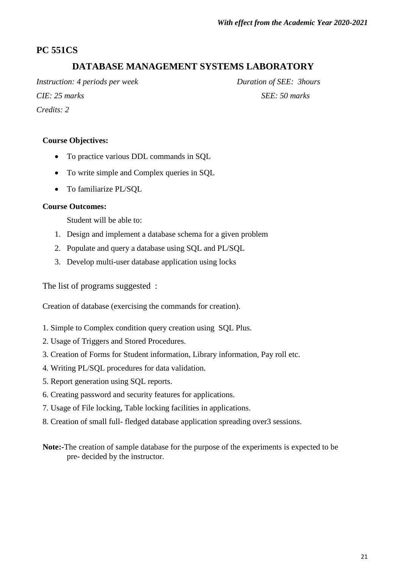# **PC 551CS**

# **DATABASE MANAGEMENT SYSTEMS LABORATORY**

*Instruction: 4 periods per week Duration of SEE: 3hours CIE: 25 marks SEE: 50 marks Credits: 2*

#### **Course Objectives:**

- To practice various DDL commands in SQL
- To write simple and Complex queries in SQL
- To familiarize PL/SOL

#### **Course Outcomes:**

Student will be able to:

- 1. Design and implement a database schema for a given problem
- 2. Populate and query a database using SQL and PL/SQL
- 3. Develop multi-user database application using locks

The list of programs suggested :

Creation of database (exercising the commands for creation).

- 1. Simple to Complex condition query creation using SQL Plus.
- 2. Usage of Triggers and Stored Procedures.
- 3. Creation of Forms for Student information, Library information, Pay roll etc.
- 4. Writing PL/SQL procedures for data validation.
- 5. Report generation using SQL reports.
- 6. Creating password and security features for applications.
- 7. Usage of File locking, Table locking facilities in applications.
- 8. Creation of small full- fledged database application spreading over3 sessions.
- **Note:-**The creation of sample database for the purpose of the experiments is expected to be pre- decided by the instructor.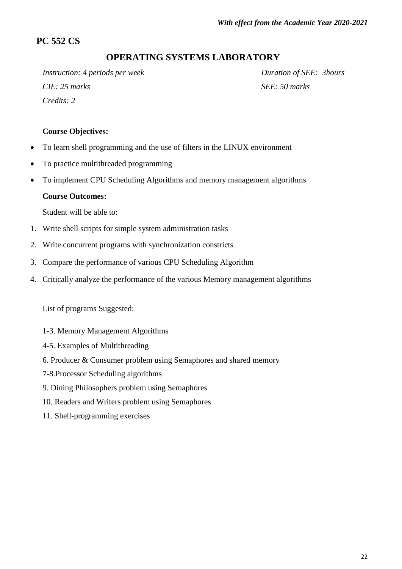# **PC 552 CS**

# **OPERATING SYSTEMS LABORATORY**

*Instruction: 4 periods per week Duration of SEE: 3hours CIE: 25 marks SEE: 50 marks Credits: 2*

#### **Course Objectives:**

- To learn shell programming and the use of filters in the LINUX environment
- To practice multithreaded programming
- To implement CPU Scheduling Algorithms and memory management algorithms

#### **Course Outcomes:**

Student will be able to:

- 1. Write shell scripts for simple system administration tasks
- 2. Write concurrent programs with synchronization constricts
- 3. Compare the performance of various CPU Scheduling Algorithm
- 4. Critically analyze the performance of the various Memory management algorithms

List of programs Suggested:

- 1-3. Memory Management Algorithms
- 4-5. Examples of Multithreading
- 6. Producer & Consumer problem using Semaphores and shared memory
- 7-8.Processor Scheduling algorithms
- 9. Dining Philosophers problem using Semaphores
- 10. Readers and Writers problem using Semaphores
- 11. Shell-programming exercises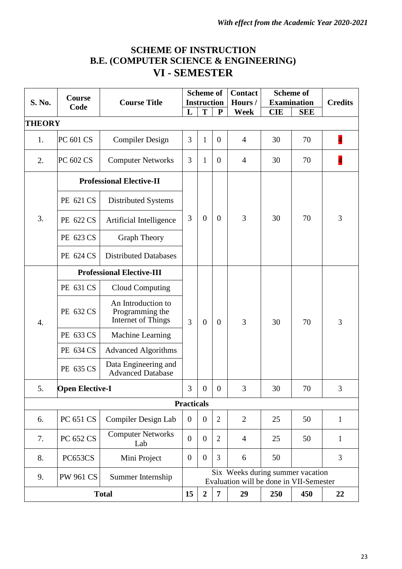# **SCHEME OF INSTRUCTION B.E. (COMPUTER SCIENCE & ENGINEERING) VI - SEMESTER**

|                                                               | Course                                |                                                             | <b>Scheme of</b>  |                    |                | <b>Contact</b>                                                              |                    | <b>Scheme of</b> |                |
|---------------------------------------------------------------|---------------------------------------|-------------------------------------------------------------|-------------------|--------------------|----------------|-----------------------------------------------------------------------------|--------------------|------------------|----------------|
| S. No.                                                        | Code                                  | <b>Course Title</b>                                         |                   | <b>Instruction</b> |                | Hours/                                                                      | <b>Examination</b> |                  | <b>Credits</b> |
|                                                               |                                       |                                                             | L                 | T                  | ${\bf P}$      | Week                                                                        | <b>CIE</b>         | <b>SEE</b>       |                |
| <b>THEORY</b>                                                 |                                       |                                                             |                   |                    |                |                                                                             |                    |                  |                |
| 1.                                                            | PC 601 CS                             | <b>Compiler Design</b>                                      | 3                 | $\mathbf{1}$       | $\overline{0}$ | $\overline{4}$                                                              | 30                 | 70               | $\overline{4}$ |
| 2.                                                            | PC 602 CS                             | <b>Computer Networks</b>                                    | 3                 | $\mathbf{1}$       | $\overline{0}$ | $\overline{4}$                                                              | 30                 | 70               | $\overline{4}$ |
|                                                               | <b>Professional Elective-II</b>       |                                                             |                   |                    |                |                                                                             |                    |                  |                |
|                                                               | PE 621 CS                             | Distributed Systems                                         |                   | $\theta$           |                | 3                                                                           |                    | 70               | 3              |
| 3.                                                            | PE 622 CS                             | Artificial Intelligence                                     | 3                 |                    | $\theta$       |                                                                             | 30                 |                  |                |
|                                                               | PE 623 CS                             | <b>Graph Theory</b>                                         |                   |                    |                |                                                                             |                    |                  |                |
|                                                               | PE 624 CS                             | <b>Distributed Databases</b>                                |                   |                    |                |                                                                             |                    |                  |                |
|                                                               | <b>Professional Elective-III</b>      |                                                             |                   |                    |                |                                                                             |                    |                  |                |
|                                                               | PE 631 CS                             | Cloud Computing                                             |                   |                    |                | 3                                                                           | 30                 | 70               | 3              |
| $\mathbf{4}$ .                                                | PE 632 CS                             | An Introduction to<br>Programming the<br>Internet of Things | 3                 | $\overline{0}$     | $\overline{0}$ |                                                                             |                    |                  |                |
|                                                               | PE 633 CS                             | Machine Learning                                            |                   |                    |                |                                                                             |                    |                  |                |
|                                                               | PE 634 CS                             | <b>Advanced Algorithms</b>                                  |                   |                    |                |                                                                             |                    |                  |                |
|                                                               | PE 635 CS                             | Data Engineering and<br><b>Advanced Database</b>            |                   |                    |                |                                                                             |                    |                  |                |
| 5.                                                            | <b>Open Elective-I</b>                |                                                             | 3                 | $\overline{0}$     | $\overline{0}$ | 3                                                                           | 30                 | 70               | 3              |
|                                                               |                                       |                                                             | <b>Practicals</b> |                    |                |                                                                             |                    |                  |                |
| 6.                                                            | PC 651 CS                             | Compiler Design Lab                                         | $\overline{0}$    | $\overline{0}$     | $\overline{2}$ | $\overline{2}$                                                              | 25                 | 50               | $\mathbf{1}$   |
| 7.                                                            | PC 652 CS                             | <b>Computer Networks</b><br>Lab                             | $\boldsymbol{0}$  | $\overline{0}$     | $\overline{2}$ | 4                                                                           | 25                 | 50               | 1              |
| 8.                                                            | PC653CS                               | Mini Project                                                | $\overline{0}$    | $\boldsymbol{0}$   | 3              | 6                                                                           | 50                 |                  | 3              |
| 9.                                                            | <b>PW 961 CS</b><br>Summer Internship |                                                             |                   |                    |                | Six Weeks during summer vacation<br>Evaluation will be done in VII-Semester |                    |                  |                |
| 15<br>$\overline{2}$<br><b>Total</b><br>29<br>450<br>7<br>250 |                                       |                                                             |                   |                    |                |                                                                             | 22                 |                  |                |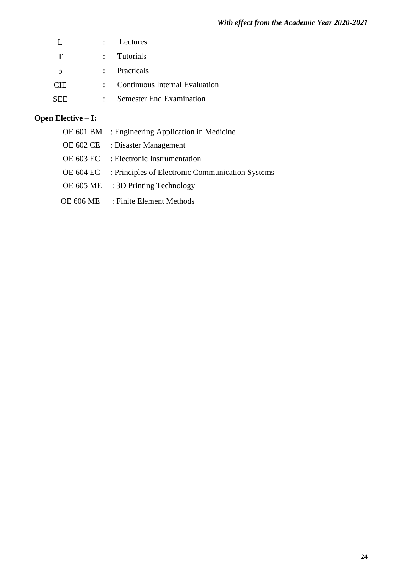|              | : Lectures                       |
|--------------|----------------------------------|
| T            | : Tutorials                      |
| <sup>p</sup> | : Practicals                     |
| <b>CIE</b>   | : Continuous Internal Evaluation |
| SEE.         | <b>Semester End Examination</b>  |

# **Open Elective – I:**

|  | OE 601 BM : Engineering Application in Medicine            |
|--|------------------------------------------------------------|
|  | OE 602 CE : Disaster Management                            |
|  | OE 603 EC : Electronic Instrumentation                     |
|  | OE 604 EC : Principles of Electronic Communication Systems |
|  | OE $605 \text{ ME}$ : 3D Printing Technology               |
|  | OE 606 ME : Finite Element Methods                         |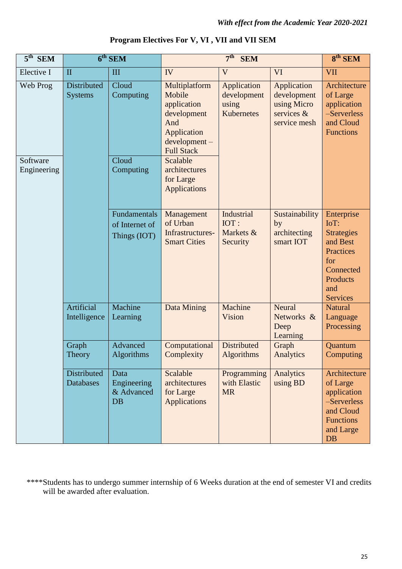| $5^{\text{th}}$ SEM     |                               | 6 <sup>th</sup> SEM                            |                                                                                                                                                                          | $8th$ SEM                                   |                                                                         |                                                                                                                            |
|-------------------------|-------------------------------|------------------------------------------------|--------------------------------------------------------------------------------------------------------------------------------------------------------------------------|---------------------------------------------|-------------------------------------------------------------------------|----------------------------------------------------------------------------------------------------------------------------|
| Elective I              | $\mathbf{I}$                  | III                                            | IV                                                                                                                                                                       | V                                           | VI                                                                      | <b>VII</b>                                                                                                                 |
| Web Prog                | Distributed<br><b>Systems</b> | Cloud<br>Computing                             | Application<br>Multiplatform<br>Mobile<br>development<br>application<br>using<br>Kubernetes<br>development<br>And<br>Application<br>$development -$<br><b>Full Stack</b> |                                             | Application<br>development<br>using Micro<br>services &<br>service mesh | Architecture<br>of Large<br>application<br>-Serverless<br>and Cloud<br><b>Functions</b>                                    |
| Software<br>Engineering |                               | Cloud<br>Computing                             | Scalable<br>architectures<br>for Large<br><b>Applications</b>                                                                                                            |                                             |                                                                         |                                                                                                                            |
|                         |                               | Fundamentals<br>of Internet of<br>Things (IOT) | Management<br>of Urban<br>Infrastructures-<br><b>Smart Cities</b>                                                                                                        | Industrial<br>IOT:<br>Markets &<br>Security | Sustainability<br>by<br>architecting<br>smart IOT                       | Enterprise<br>IoT:<br><b>Strategies</b><br>and Best<br>Practices<br>for<br>Connected<br>Products<br>and<br><b>Services</b> |
|                         | Artificial<br>Intelligence    | Machine<br>Learning                            | Data Mining                                                                                                                                                              | Machine<br>Vision                           | Neural<br>Networks &<br>Deep<br>Learning                                | <b>Natural</b><br>Language<br>Processing                                                                                   |
|                         | Graph<br>Theory               | Advanced<br>Algorithms                         | Computational<br>Complexity                                                                                                                                              | <b>Distributed</b><br>Algorithms            | Graph<br>Analytics                                                      | Quantum<br>Computing                                                                                                       |
|                         | Distributed<br>Databases      | Data<br>Engineering<br>& Advanced<br>DB        | Scalable<br>architectures<br>for Large<br><b>Applications</b>                                                                                                            | Programming<br>with Elastic<br><b>MR</b>    | Analytics<br>using BD                                                   | Architecture<br>of Large<br>application<br>-Serverless<br>and Cloud<br><b>Functions</b><br>and Large<br><b>DB</b>          |

# **Program Electives For V, VI , VII and VII SEM**

\*\*\*\*Students has to undergo summer internship of 6 Weeks duration at the end of semester VI and credits will be awarded after evaluation.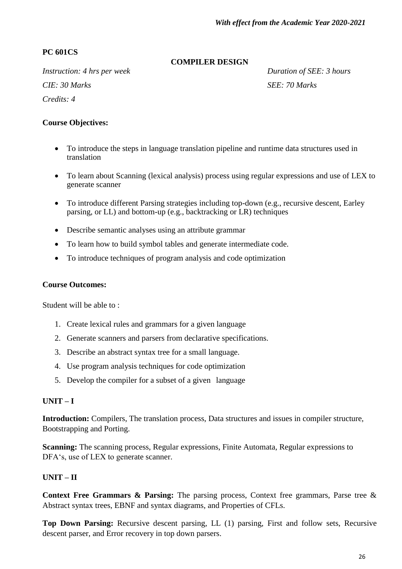# **PC 601CS**

#### **COMPILER DESIGN**

*Instruction: 4 hrs per week Duration of SEE: 3 hours CIE:* 30 Marks SEE: 70 Marks *Credits: 4*

# **Course Objectives:**

- To introduce the steps in language translation pipeline and runtime data structures used in translation
- To learn about Scanning (lexical analysis) process using regular expressions and use of LEX to generate scanner
- To introduce different Parsing strategies including top-down (e.g., recursive descent, Earley parsing, or LL) and bottom-up (e.g., backtracking or LR) techniques
- Describe semantic analyses using an attribute grammar
- To learn how to build symbol tables and generate intermediate code.
- To introduce techniques of program analysis and code optimization

#### **Course Outcomes:**

Student will be able to :

- 1. Create lexical rules and grammars for a given language
- 2. Generate scanners and parsers from declarative specifications.
- 3. Describe an abstract syntax tree for a small language.
- 4. Use program analysis techniques for code optimization
- 5. Develop the compiler for a subset of a given language

# **UNIT – I**

**Introduction:** Compilers, The translation process, Data structures and issues in compiler structure, Bootstrapping and Porting.

**Scanning:** The scanning process, Regular expressions, Finite Automata, Regular expressions to DFA's, use of LEX to generate scanner.

# **UNIT – II**

**Context Free Grammars & Parsing:** The parsing process, Context free grammars, Parse tree & Abstract syntax trees, EBNF and syntax diagrams, and Properties of CFLs.

**Top Down Parsing:** Recursive descent parsing, LL (1) parsing, First and follow sets, Recursive descent parser, and Error recovery in top down parsers.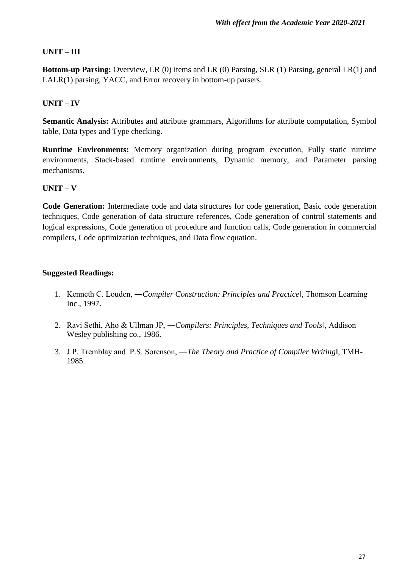# **UNIT – III**

**Bottom-up Parsing:** Overview, LR (0) items and LR (0) Parsing, SLR (1) Parsing, general LR(1) and LALR(1) parsing, YACC, and Error recovery in bottom-up parsers.

# **UNIT – IV**

**Semantic Analysis:** Attributes and attribute grammars, Algorithms for attribute computation, Symbol table, Data types and Type checking.

**Runtime Environments:** Memory organization during program execution, Fully static runtime environments, Stack-based runtime environments, Dynamic memory, and Parameter parsing mechanisms.

# **UNIT – V**

**Code Generation:** Intermediate code and data structures for code generation, Basic code generation techniques, Code generation of data structure references, Code generation of control statements and logical expressions, Code generation of procedure and function calls, Code generation in commercial compilers, Code optimization techniques, and Data flow equation.

- 1. Kenneth C. Louden, ―*Compiler Construction: Principles and Practice*‖, Thomson Learning Inc., 1997.
- 2. Ravi Sethi, Aho & Ullman JP, ―*Compilers: Principles, Techniques and Tools*‖, Addison Wesley publishing co., 1986.
- 3. J.P. Tremblay and P.S. Sorenson, ―*The Theory and Practice of Compiler Writing*‖, TMH-1985.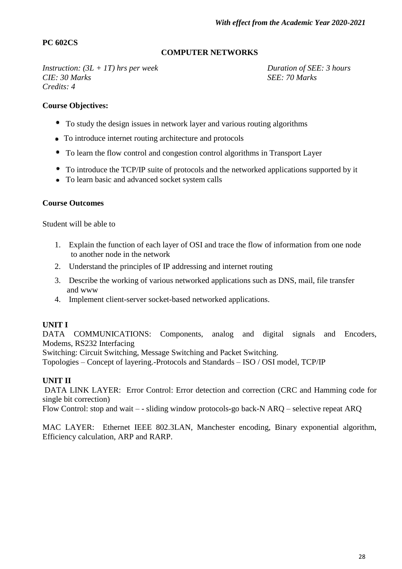# **PC 602CS**

#### **COMPUTER NETWORKS**

*Instruction:*  $(3L + IT)$  hrs per week Duration of SEE: 3 hours *CIE:* 30 *Marks SEE:* 70 *Marks Credits: 4*

#### **Course Objectives:**

- To study the design issues in network layer and various routing algorithms
- To introduce internet routing architecture and protocols
- To learn the flow control and congestion control algorithms in Transport Layer
- To introduce the TCP/IP suite of protocols and the networked applications supported by it
- To learn basic and advanced socket system calls

#### **Course Outcomes**

Student will be able to

- 1. Explain the function of each layer of OSI and trace the flow of information from one node to another node in the network
- 2. Understand the principles of IP addressing and internet routing
- 3. Describe the working of various networked applications such as DNS, mail, file transfer and www
- 4. Implement client-server socket-based networked applications.

#### **UNIT I**

DATA COMMUNICATIONS: Components, analog and digital signals and Encoders, [Modems,](http://www.indiastudychannel.com/resources/33353-CS-COMPUTER-NETWORKS-Syllabus-Anna.aspx) RS232 Interfacing

Switching: Circuit Switching, Message Switching and Packet Switching.

Topologies – Concept of layering.-Protocols and Standards – ISO / OSI model, TCP/IP

#### **UNIT II**

DATA LINK LAYER: Error Control: Error detection and correction (CRC and Hamming code for single bit correction)

Flow Control: stop and wait – - sliding window protocols-go back-N ARQ – selective repeat ARQ

MAC LAYER: Ethernet IEEE 802.3LAN, Manchester encoding, Binary exponential algorithm, Efficiency calculation, ARP and RARP.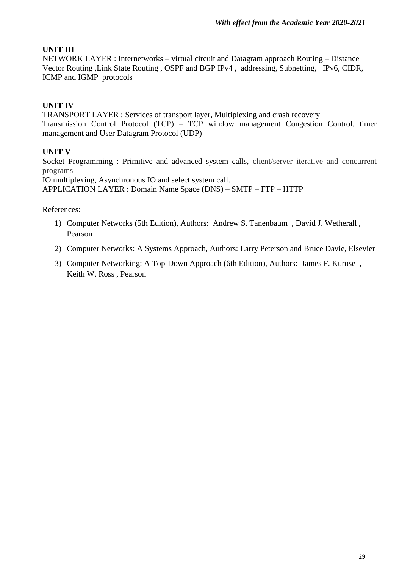# **UNIT III**

NETWORK LAYER : Internetworks – virtual circuit and Datagram approach Routing – Distance Vector Routing ,Link State Routing , OSPF and BGP IPv4 , addressing, Subnetting, IPv6, CIDR, ICMP and IGMP protocols

# **UNIT IV**

TRANSPORT LAYER : Services of transport layer, Multiplexing and crash recovery Transmission Control Protocol (TCP) – TCP window management Congestion Control, timer management and User Datagram Protocol (UDP)

# **UNIT V**

Socket Programming : Primitive and advanced system calls, client/server iterative and concurrent programs

IO multiplexing, Asynchronous IO and select system call.

APPLICATION LAYER : Domain Name Space (DNS) – SMTP – FTP – HTTP

References:

- 1) Computer Networks (5th Edition), Authors: Andrew S. Tanenbaum , David J. Wetherall , Pearson
- 2) Computer Networks: A Systems Approach, Authors: Larry Peterson and Bruce Davie, Elsevier
- 3) Computer Networking: A Top-Down Approach (6th Edition), Authors: James F. Kurose , Keith W. Ross , Pearson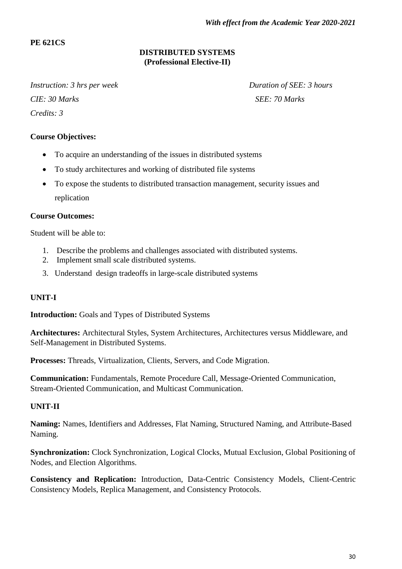# **PE 621CS**

# **DISTRIBUTED SYSTEMS (Professional Elective-II)**

*Instruction: 3 hrs per week* Duration of SEE: *3 hours CIE:* 30 Marks SEE: 70 Marks *Credits: 3*

# **Course Objectives:**

- To acquire an understanding of the issues in distributed systems
- To study architectures and working of distributed file systems
- To expose the students to distributed transaction management, security issues and replication

#### **Course Outcomes:**

Student will be able to:

- 1. Describe the problems and challenges associated with distributed systems.
- 2. Implement small scale distributed systems.
- 3. Understand design tradeoffs in large-scale distributed systems

# **UNIT-I**

**Introduction:** Goals and Types of Distributed Systems

**Architectures:** Architectural Styles, System Architectures, Architectures versus Middleware, and Self-Management in Distributed Systems.

**Processes:** Threads, Virtualization, Clients, Servers, and Code Migration.

**Communication:** Fundamentals, Remote Procedure Call, Message-Oriented Communication, Stream-Oriented Communication, and Multicast Communication.

#### **UNIT-II**

**Naming:** Names, Identifiers and Addresses, Flat Naming, Structured Naming, and Attribute-Based Naming.

**Synchronization:** Clock Synchronization, Logical Clocks, Mutual Exclusion, Global Positioning of Nodes, and Election Algorithms.

**Consistency and Replication:** Introduction, Data-Centric Consistency Models, Client-Centric Consistency Models, Replica Management, and Consistency Protocols.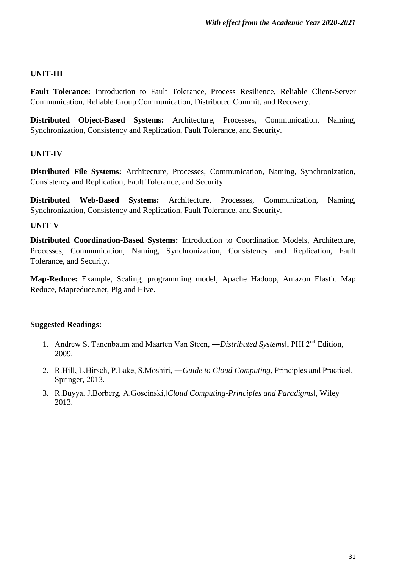#### **UNIT-III**

**Fault Tolerance:** Introduction to Fault Tolerance, Process Resilience, Reliable Client-Server Communication, Reliable Group Communication, Distributed Commit, and Recovery.

**Distributed Object-Based Systems:** Architecture, Processes, Communication, Naming, Synchronization, Consistency and Replication, Fault Tolerance, and Security.

# **UNIT-IV**

**Distributed File Systems:** Architecture, Processes, Communication, Naming, Synchronization, Consistency and Replication, Fault Tolerance, and Security.

**Distributed Web-Based Systems:** Architecture, Processes, Communication, Naming, Synchronization, Consistency and Replication, Fault Tolerance, and Security.

# **UNIT-V**

**Distributed Coordination-Based Systems:** Introduction to Coordination Models, Architecture, Processes, Communication, Naming, Synchronization, Consistency and Replication, Fault Tolerance, and Security.

**Map-Reduce:** Example, Scaling, programming model, Apache Hadoop, Amazon Elastic Map Reduce, Mapreduce.net, Pig and Hive.

- 1. Andrew S. Tanenbaum and Maarten Van Steen, ―*Distributed Systems*‖, PHI 2nd Edition, 2009.
- 2. R.Hill, L.Hirsch, P.Lake, S.Moshiri, ―*Guide to Cloud Computing*, Principles and Practice‖, Springer, 2013.
- 3. R.Buyya, J.Borberg, A.Goscinski,‖*Cloud Computing-Principles and Paradigms*‖, Wiley 2013.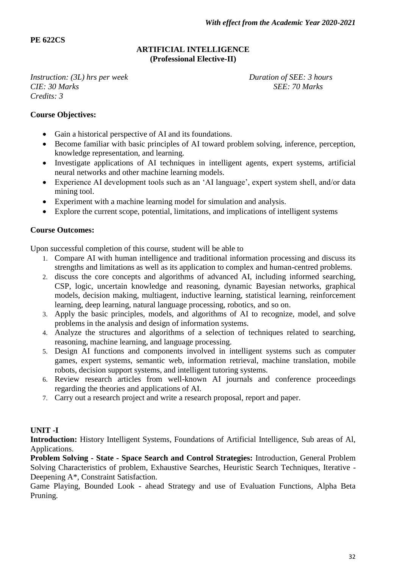# **PE 622CS**

#### **ARTIFICIAL INTELLIGENCE (Professional Elective-II)**

*Instruction: (3L) hrs per week Duration of SEE: 3 hours CIE: 30 Marks SEE: 70 Marks Credits: 3*

#### **Course Objectives:**

- Gain a historical perspective of AI and its foundations.
- Become familiar with basic principles of AI toward problem solving, inference, perception, knowledge representation, and learning.
- Investigate applications of AI techniques in intelligent agents, expert systems, artificial neural networks and other machine learning models.
- Experience AI development tools such as an "AI language", expert system shell, and/or data mining tool.
- Experiment with a machine learning model for simulation and analysis.
- Explore the current scope, potential, limitations, and implications of intelligent systems

#### **Course Outcomes:**

Upon successful completion of this course, student will be able to

- 1. Compare AI with human intelligence and traditional information processing and discuss its strengths and limitations as well as its application to complex and human-centred problems.
- 2. discuss the core concepts and algorithms of advanced AI, including informed searching, CSP, logic, uncertain knowledge and reasoning, dynamic Bayesian networks, graphical models, decision making, multiagent, inductive learning, statistical learning, reinforcement learning, deep learning, natural language processing, robotics, and so on.
- 3. Apply the basic principles, models, and algorithms of AI to recognize, model, and solve problems in the analysis and design of information systems.
- 4. Analyze the structures and algorithms of a selection of techniques related to searching, reasoning, machine learning, and language processing.
- 5. Design AI functions and components involved in intelligent systems such as computer games, expert systems, semantic web, information retrieval, machine translation, mobile robots, decision support systems, and intelligent tutoring systems.
- 6. Review research articles from well-known AI journals and conference proceedings regarding the theories and applications of AI.
- 7. Carry out a research project and write a research proposal, report and paper.

# **UNIT -I**

**Introduction:** History Intelligent Systems, Foundations of Artificial Intelligence, Sub areas of Al, Applications.

**Problem Solving - State - Space Search and Control Strategies:** Introduction, General Problem Solving Characteristics of problem, Exhaustive Searches, Heuristic Search Techniques, Iterative - Deepening A\*, Constraint Satisfaction.

Game Playing, Bounded Look - ahead Strategy and use of Evaluation Functions, Alpha Beta Pruning.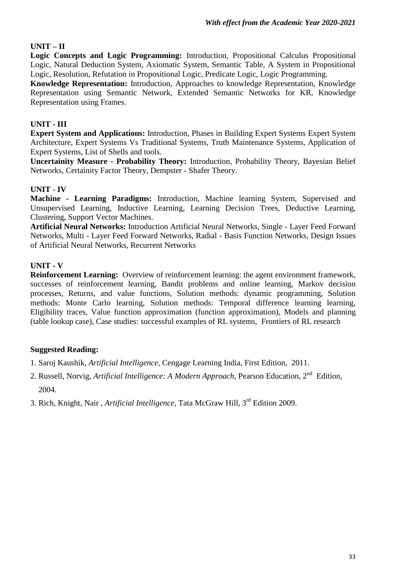# **UNIT – II**

**Logic Concepts and Logic Programming:** Introduction, Propositional Calculus Propositional Logic, Natural Deduction System, Axiomatic System, Semantic Table, A System in Propositional Logic, Resolution, Refutation in Propositional Logic, Predicate Logic, Logic Programming.

**Knowledge Representation:** Introduction, Approaches to knowledge Representation, Knowledge Representation using Semantic Network, Extended Semantic Networks for KR, Knowledge Representation using Frames.

# **UNIT - III**

**Expert System and Applications:** Introduction, Phases in Building Expert Systems Expert System Architecture, Expert Systems Vs Traditional Systems, Truth Maintenance Systems, Application of Expert Systems, List of Shells and tools.

**Uncertainity Measure - Probability Theory:** Introduction, Probability Theory, Bayesian Belief Networks, Certainity Factor Theory, Dempster - Shafer Theory.

# **UNIT - IV**

**Machine - Learning Paradigms:** Introduction, Machine learning System, Supervised and Unsupervised Learning, Inductive Learning, Learning Decision Trees, Deductive Learning, Clustering, Support Vector Machines.

**Artificial Neural Networks:** Introduction Artificial Neural Networks, Single - Layer Feed Forward Networks, Multi - Layer Feed Forward Networks, Radial - Basis Function Networks, Design Issues of Artificial Neural Networks, Recurrent Networks

# **UNIT - V**

**Reinforcement Learning:** Overview of reinforcement learning: the agent environment framework, successes of reinforcement learning, Bandit problems and online learning, Markov decision processes, Returns, and value functions, Solution methods: dynamic programming, Solution methods: Monte Carlo learning, Solution methods: Temporal difference learning learning, Eligibility traces, Value function approximation (function approximation), Models and planning (table lookup case), Case studies: successful examples of RL systems, Frontiers of RL research

- 1. Saroj Kaushik, *Artificial Intelligence*, Cengage Learning India, First Edition, 2011.
- 2. Russell, Norvig, *Artificial Intelligence: A Modern Approach*, Pearson Education, 2<sup>nd</sup> Edition, 2004.
- 3. Rich, Knight, Nair , *Artificial Intelligence*, Tata McGraw Hill, 3rd Edition 2009.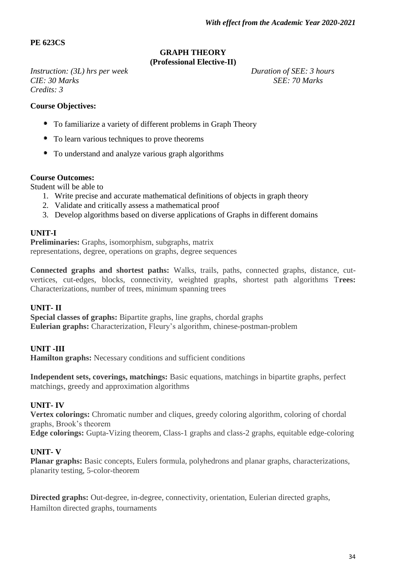# **PE 623CS**

#### **GRAPH THEORY (Professional Elective-II)**

*Instruction:* (3L) *hrs per week* Duration of SEE: 3 hours *CIE:* 30 *Marks* SEE: 70 *Marks Credits: 3*

#### **Course Objectives:**

- To familiarize a variety of different problems in Graph Theory
- To learn various techniques to prove theorems
- To understand and analyze various graph algorithms

#### **Course Outcomes:**

Student will be able to

- 1. Write precise and accurate mathematical definitions of objects in graph theory
- 2. Validate and critically assess a mathematical proof
- 3. Develop algorithms based on diverse applications of Graphs in different domains

#### **UNIT-I**

**Preliminaries:** Graphs, isomorphism, subgraphs, matrix representations, degree, operations on graphs, degree sequences

**Connected graphs and shortest paths:** Walks, trails, paths, connected graphs, distance, cutvertices, cut-edges, blocks, connectivity, weighted graphs, shortest path algorithms T**rees:** Characterizations, number of trees, minimum spanning trees

#### **UNIT- II**

**Special classes of graphs:** Bipartite graphs, line graphs, chordal graphs **Eulerian graphs:** Characterization, Fleury"s algorithm, chinese-postman-problem

# **UNIT -III**

**Hamilton graphs:** Necessary conditions and sufficient conditions

**Independent sets, coverings, matchings:** Basic equations, matchings in bipartite graphs, perfect matchings, greedy and approximation algorithms

#### **UNIT- IV**

**Vertex colorings:** Chromatic number and cliques, greedy coloring algorithm, coloring of chordal graphs, Brook"s theorem

**Edge colorings:** Gupta-Vizing theorem, Class-1 graphs and class-2 graphs, equitable edge-coloring

#### **UNIT- V**

**Planar graphs:** Basic concepts, Eulers formula, polyhedrons and planar graphs, characterizations, planarity testing, 5-color-theorem

**Directed graphs:** Out-degree, in-degree, connectivity, orientation, Eulerian directed graphs, Hamilton directed graphs, tournaments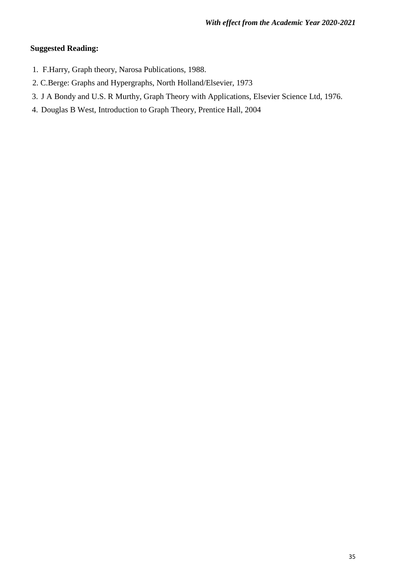- 1. F.Harry, Graph theory, Narosa Publications, 1988.
- 2. C.Berge: Graphs and Hypergraphs, North Holland/Elsevier, 1973
- 3. J A Bondy and U.S. R Murthy, Graph Theory with Applications, Elsevier Science Ltd, 1976.
- 4. Douglas B West, Introduction to Graph Theory, Prentice Hall, 2004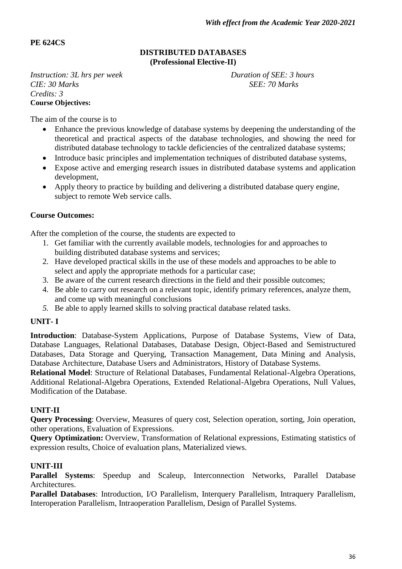# **PE 624CS**

#### **DISTRIBUTED DATABASES (Professional Elective-II)**

*Instruction: 3L hrs per week Duration of SEE: 3 hours CIE:* 30 *Marks SEE:* 70 *Marks Credits: 3* **Course Objectives:**

The aim of the course is to

- Enhance the previous knowledge of database systems by deepening the understanding of the theoretical and practical aspects of the database technologies, and showing the need for distributed database technology to tackle deficiencies of the centralized database systems;
- Introduce basic principles and implementation techniques of distributed database systems,
- Expose active and emerging research issues in distributed database systems and application development,
- Apply theory to practice by building and delivering a distributed database query engine, subject to remote Web service calls.

#### **Course Outcomes:**

After the completion of the course, the students are expected to

- 1. Get familiar with the currently available models, technologies for and approaches to building distributed database systems and services;
- 2. Have developed practical skills in the use of these models and approaches to be able to select and apply the appropriate methods for a particular case;
- 3. Be aware of the current research directions in the field and their possible outcomes;
- 4. Be able to carry out research on a relevant topic, identify primary references, analyze them, and come up with meaningful conclusions
- *5.* Be able to apply learned skills to solving practical database related tasks.

# **UNIT- I**

**Introduction**: Database-System Applications, Purpose of Database Systems, View of Data, Database Languages, Relational Databases, Database Design, Object-Based and Semistructured Databases, Data Storage and Querying, Transaction Management, Data Mining and Analysis, Database Architecture, Database Users and Administrators, History of Database Systems.

**Relational Model**: Structure of Relational Databases, Fundamental Relational-Algebra Operations, Additional Relational-Algebra Operations, Extended Relational-Algebra Operations, Null Values, Modification of the Database.

#### **UNIT-II**

**Query Processing**: Overview, Measures of query cost, Selection operation, sorting, Join operation, other operations, Evaluation of Expressions.

**Query Optimization:** Overview, Transformation of Relational expressions, Estimating statistics of expression results, Choice of evaluation plans, Materialized views.

# **UNIT-III**

**Parallel Systems**: Speedup and Scaleup, Interconnection Networks, Parallel Database Architectures.

**Parallel Databases**: Introduction, I/O Parallelism, Interquery Parallelism, Intraquery Parallelism, Interoperation Parallelism, Intraoperation Parallelism, Design of Parallel Systems.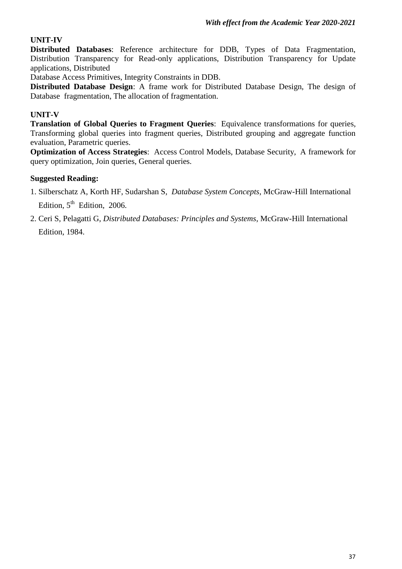# **UNIT-IV**

**Distributed Databases**: Reference architecture for DDB, Types of Data Fragmentation, Distribution Transparency for Read-only applications, Distribution Transparency for Update applications, Distributed

Database Access Primitives, Integrity Constraints in DDB.

**Distributed Database Design:** A frame work for Distributed Database Design. The design of Database fragmentation, The allocation of fragmentation.

# **UNIT-V**

**Translation of Global Queries to Fragment Queries**: Equivalence transformations for queries, Transforming global queries into fragment queries, Distributed grouping and aggregate function evaluation, Parametric queries.

**Optimization of Access Strategies**: Access Control Models, Database Security, A framework for query optimization, Join queries, General queries.

- 1. Silberschatz A, Korth HF, Sudarshan S, *Database System Concepts*, McGraw-Hill International Edition,  $5^{\text{th}}$  Edition, 2006.
- 2. Ceri S, Pelagatti G, *Distributed Databases: Principles and Systems*, McGraw-Hill International Edition, 1984.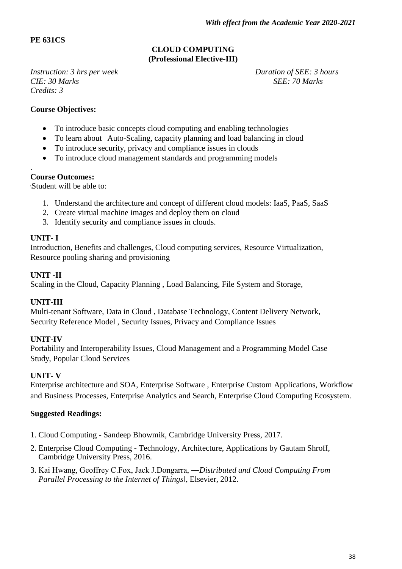# **PE 631CS**

# **CLOUD COMPUTING (Professional Elective-III)**

*Instruction: 3 hrs per week Duration of SEE: 3 hours CIE:* 30 Marks SEE: 70 Marks *Credits: 3*

#### **Course Objectives:**

- To introduce basic concepts cloud computing and enabling technologies
- To learn about Auto-Scaling, capacity planning and load balancing in cloud
- To introduce security, privacy and compliance issues in clouds
- To introduce cloud management standards and programming models

#### . **Course Outcomes:**

\Student will be able to:

- 1. Understand the architecture and concept of different cloud models: IaaS, PaaS, SaaS
- 2. Create virtual machine images and deploy them on cloud
- 3. Identify security and compliance issues in clouds.

#### **UNIT- I**

Introduction, Benefits and challenges, Cloud computing services, Resource Virtualization, Resource pooling sharing and provisioning

#### **UNIT -II**

Scaling in the Cloud, Capacity Planning , Load Balancing, File System and Storage,

# **UNIT-III**

Multi-tenant Software, Data in Cloud , Database Technology, Content Delivery Network, Security Reference Model , Security Issues, Privacy and Compliance Issues

# **UNIT-IV**

Portability and Interoperability Issues, Cloud Management and a Programming Model Case Study, Popular Cloud Services

# **UNIT- V**

Enterprise architecture and SOA, Enterprise Software , Enterprise Custom Applications, Workflow and Business Processes, Enterprise Analytics and Search, Enterprise Cloud Computing Ecosystem.

- 1. Cloud Computing Sandeep Bhowmik, Cambridge University Press, 2017.
- 2. Enterprise Cloud Computing Technology, Architecture, Applications by Gautam Shroff, Cambridge University Press, 2016.
- 3. Kai Hwang, Geoffrey C.Fox, Jack J.Dongarra, ―*Distributed and Cloud Computing From Parallel Processing to the Internet of Things*‖, Elsevier, 2012.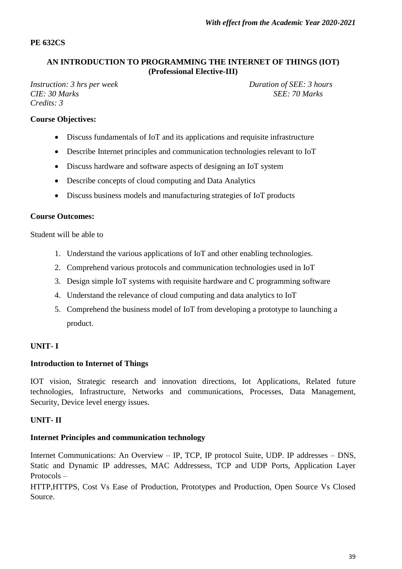**PE 632CS**

#### **AN INTRODUCTION TO PROGRAMMING THE INTERNET OF THINGS (IOT) (Professional Elective-III)**

*Instruction: 3 hrs per week Duration of SEE: 3 hours CIE:* 30 *Marks* SEE: 70 *Marks Credits: 3*

# **Course Objectives:**

- Discuss fundamentals of IoT and its applications and requisite infrastructure
- Describe Internet principles and communication technologies relevant to IoT
- Discuss hardware and software aspects of designing an IoT system
- Describe concepts of cloud computing and Data Analytics
- Discuss business models and manufacturing strategies of IoT products

#### **Course Outcomes:**

Student will be able to

- 1. Understand the various applications of IoT and other enabling technologies.
- 2. Comprehend various protocols and communication technologies used in IoT
- 3. Design simple IoT systems with requisite hardware and C programming software
- 4. Understand the relevance of cloud computing and data analytics to IoT
- 5. Comprehend the business model of IoT from developing a prototype to launching a product.

# **UNIT- I**

#### **Introduction to Internet of Things**

IOT vision, Strategic research and innovation directions, Iot Applications, Related future technologies, Infrastructure, Networks and communications, Processes, Data Management, Security, Device level energy issues.

# **UNIT- II**

#### **Internet Principles and communication technology**

Internet Communications: An Overview – IP, TCP, IP protocol Suite, UDP. IP addresses – DNS, Static and Dynamic IP addresses, MAC Addressess, TCP and UDP Ports, Application Layer Protocols –

HTTP,HTTPS, Cost Vs Ease of Production, Prototypes and Production, Open Source Vs Closed Source.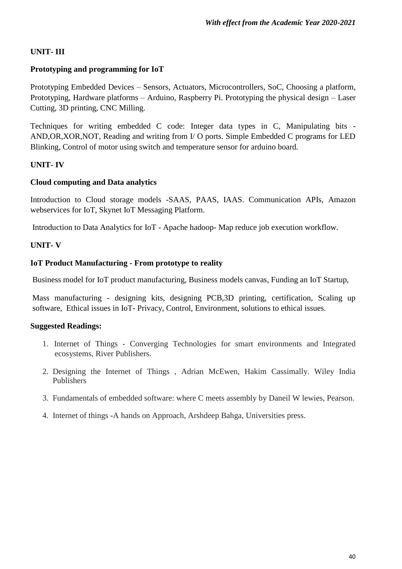# **UNIT- III**

# **Prototyping and programming for IoT**

Prototyping Embedded Devices – Sensors, Actuators, Microcontrollers, SoC, Choosing a platform, Prototyping, Hardware platforms – Arduino, Raspberry Pi. Prototyping the physical design – Laser Cutting, 3D printing, CNC Milling.

Techniques for writing embedded C code: Integer data types in C, Manipulating bits - AND,OR,XOR,NOT, Reading and writing from I/ O ports. Simple Embedded C programs for LED Blinking, Control of motor using switch and temperature sensor for arduino board.

# **UNIT- IV**

# **Cloud computing and Data analytics**

Introduction to Cloud storage models -SAAS, PAAS, IAAS. Communication APIs, Amazon webservices for IoT, Skynet IoT Messaging Platform.

Introduction to Data Analytics for IoT - Apache hadoop- Map reduce job execution workflow.

# **UNIT- V**

#### **IoT Product Manufacturing - From prototype to reality**

Business model for IoT product manufacturing, Business models canvas, Funding an IoT Startup,

Mass manufacturing - designing kits, designing PCB,3D printing, certification, Scaling up software, Ethical issues in IoT- Privacy, Control, Environment, solutions to ethical issues.

- 1. Internet of Things Converging Technologies for smart environments and Integrated ecosystems, River Publishers.
- 2. Designing the Internet of Things , Adrian McEwen, Hakim Cassimally. Wiley India Publishers
- 3. Fundamentals of embedded software: where C meets assembly by Daneil W lewies, Pearson.
- 4. Internet of things **-**A hands on Approach, Arshdeep Bahga, Universities press.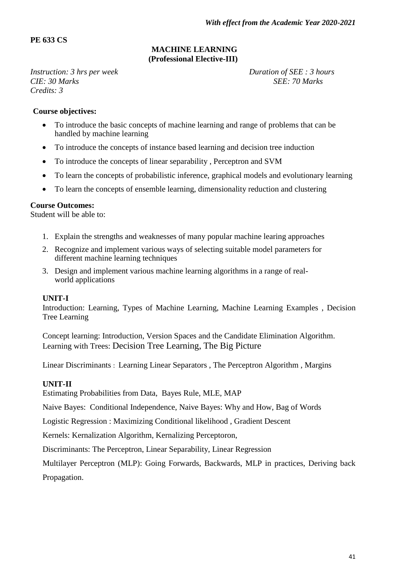# **PE 633 CS**

#### **MACHINE LEARNING (Professional Elective-III)**

*Instruction:* 3 hrs *per week* Duration of SEE : 3 hours *CIE:* 30 Marks SEE: *70 Marks Credits: 3*

#### **Course objectives:**

- To introduce the basic concepts of machine learning and range of problems that can be handled by machine learning
- To introduce the concepts of instance based learning and decision tree induction
- To introduce the concepts of linear separability , Perceptron and SVM
- To learn the concepts of probabilistic inference, graphical models and evolutionary learning
- To learn the concepts of ensemble learning, dimensionality reduction and clustering

#### **Course Outcomes:**

Student will be able to:

- 1. Explain the strengths and weaknesses of many popular machine learing approaches
- 2. Recognize and implement various ways of selecting suitable model parameters for different machine learning techniques
- 3. Design and implement various machine learning algorithms in a range of realworld applications

#### **UNIT-I**

Introduction: Learning, Types of Machine Learning, Machine Learning Examples , Decision Tree Learning

Concept learning: Introduction, Version Spaces and the Candidate Elimination Algorithm. Learning with Trees: Decision Tree Learning, The Big Picture

Linear Discriminants : Learning Linear Separators , The Perceptron Algorithm , Margins

#### **UNIT-II**

Estimating Probabilities from Data, Bayes Rule, MLE, MAP

Naive Bayes: Conditional Independence, Naive Bayes: Why and How, Bag of Words

Logistic Regression : Maximizing Conditional likelihood , Gradient Descent

Kernels: Kernalization Algorithm, Kernalizing Perceptoron,

Discriminants: The Perceptron, Linear Separability, Linear Regression

Multilayer Perceptron (MLP): Going Forwards, Backwards, MLP in practices, Deriving back Propagation.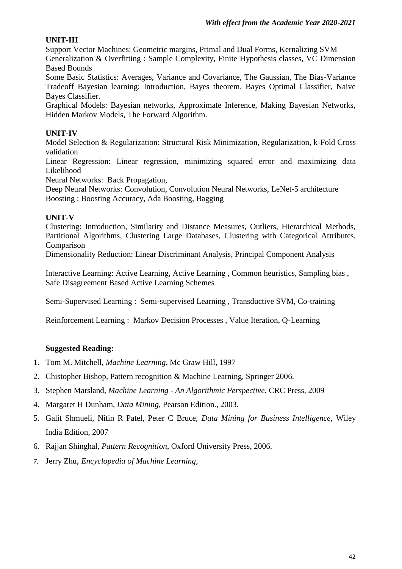# **UNIT-III**

Support Vector Machines: Geometric margins, Primal and Dual Forms, Kernalizing SVM Generalization & Overfitting : Sample Complexity, Finite Hypothesis classes, VC Dimension Based Bounds

Some Basic Statistics: Averages, Variance and Covariance, The Gaussian, The Bias-Variance Tradeoff Bayesian learning: Introduction, Bayes theorem. Bayes Optimal Classifier, Naive Bayes Classifier.

Graphical Models: Bayesian networks, Approximate Inference, Making Bayesian Networks, Hidden Markov Models, The Forward Algorithm.

# **UNIT-IV**

Model Selection & Regularization: Structural Risk Minimization, Regularization, k-Fold Cross validation

Linear Regression: Linear regression, minimizing squared error and maximizing data Likelihood

Neural Networks: Back Propagation,

Deep Neural Networks: Convolution, Convolution Neural Networks, LeNet-5 architecture Boosting : Boosting Accuracy, Ada Boosting, Bagging

# **UNIT-V**

Clustering: Introduction, Similarity and Distance Measures, Outliers, Hierarchical Methods, Partitional Algorithms, Clustering Large Databases, Clustering with Categorical Attributes, Comparison

Dimensionality Reduction: Linear Discriminant Analysis, Principal Component Analysis

Interactive Learning: Active Learning, Active Learning , Common heuristics, Sampling bias , Safe Disagreement Based Active Learning Schemes

Semi-Supervised Learning : Semi-supervised Learning , Transductive SVM, Co-training

Reinforcement Learning : Markov Decision Processes , Value Iteration, Q-Learning

- 1. Tom M. Mitchell, *Machine Learning*, Mc Graw Hill, 1997
- 2. Chistopher Bishop, Pattern recognition & Machine Learning, Springer 2006.
- 3. Stephen Marsland, *Machine Learning - An Algorithmic Perspective*, CRC Press, 2009
- 4. Margaret H Dunham, *Data Mining*, Pearson Edition., 2003.
- 5. Galit Shmueli, Nitin R Patel, Peter C Bruce, *Data Mining for Business Intelligence*, Wiley India Edition, 2007
- 6. Rajjan Shinghal, *Pattern Recognition*, Oxford University Press, 2006.
- *7.* Jerry Zhu, *Encyclopedia of Machine Learning,*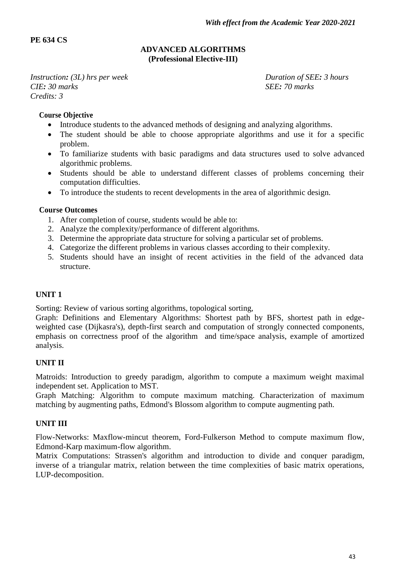# **PE 634 CS**

#### **ADVANCED ALGORITHMS (Professional Elective-III)**

*Instruction:* (3*L)* hrs per week Duration of SEE*:* 3 hours<br> *CIF*: 30 marks *CIE: 30 marks Credits: 3*

#### **Course Objective**

- Introduce students to the advanced methods of designing and analyzing algorithms.
- The student should be able to choose appropriate algorithms and use it for a specific problem.
- To familiarize students with basic paradigms and data structures used to solve advanced algorithmic problems.
- Students should be able to understand different classes of problems concerning their computation difficulties.
- To introduce the students to recent developments in the area of algorithmic design.

#### **Course Outcomes**

- 1. After completion of course, students would be able to:
- 2. Analyze the complexity/performance of different algorithms.
- 3. Determine the appropriate data structure for solving a particular set of problems.
- 4. Categorize the different problems in various classes according to their complexity.
- 5. Students should have an insight of recent activities in the field of the advanced data structure.

# **UNIT 1**

Sorting: Review of various sorting algorithms, topological sorting,

Graph: Definitions and Elementary Algorithms: Shortest path by BFS, shortest path in edgeweighted case (Dijkasra's), depth-first search and computation of strongly connected components, emphasis on correctness proof of the algorithm and time/space analysis, example of amortized analysis.

# **UNIT II**

Matroids: Introduction to greedy paradigm, algorithm to compute a maximum weight maximal independent set. Application to MST.

Graph Matching: Algorithm to compute maximum matching. Characterization of maximum matching by augmenting paths, Edmond's Blossom algorithm to compute augmenting path.

# **UNIT III**

Flow-Networks: Maxflow-mincut theorem, Ford-Fulkerson Method to compute maximum flow, Edmond-Karp maximum-flow algorithm.

Matrix Computations: Strassen's algorithm and introduction to divide and conquer paradigm, inverse of a triangular matrix, relation between the time complexities of basic matrix operations, LUP-decomposition.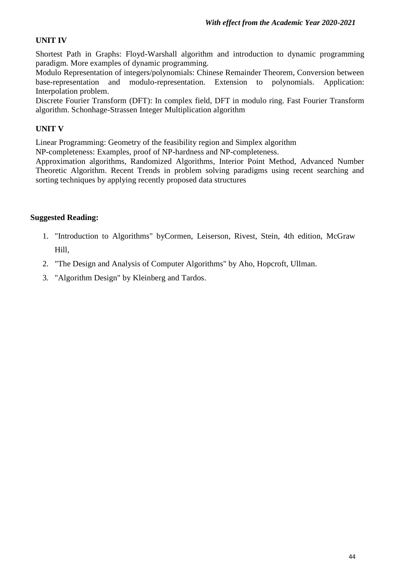# **UNIT IV**

Shortest Path in Graphs: Floyd-Warshall algorithm and introduction to dynamic programming paradigm. More examples of dynamic programming.

Modulo Representation of integers/polynomials: Chinese Remainder Theorem, Conversion between base-representation and modulo-representation. Extension to polynomials. Application: Interpolation problem.

Discrete Fourier Transform (DFT): In complex field, DFT in modulo ring. Fast Fourier Transform algorithm. Schonhage-Strassen Integer Multiplication algorithm

# **UNIT V**

Linear Programming: Geometry of the feasibility region and Simplex algorithm

NP-completeness: Examples, proof of NP-hardness and NP-completeness.

Approximation algorithms, Randomized Algorithms, Interior Point Method, Advanced Number Theoretic Algorithm. Recent Trends in problem solving paradigms using recent searching and sorting techniques by applying recently proposed data structures

- 1. "Introduction to Algorithms" byCormen, Leiserson, Rivest, Stein, 4th edition, McGraw Hill,
- 2. "The Design and Analysis of Computer Algorithms" by Aho, Hopcroft, Ullman.
- 3. "Algorithm Design" by Kleinberg and Tardos.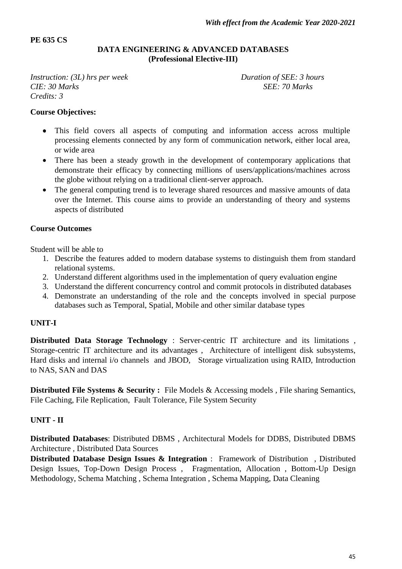#### **PE 635 CS**

#### **DATA ENGINEERING & ADVANCED DATABASES (Professional Elective-III)**

*Instruction:* (3L) *hrs per week* Duration of SEE: 3 *hours CIE:* 30 Marks SEE: 70 Marks *Credits: 3*

#### **Course Objectives:**

- This field covers all aspects of computing and information access across multiple processing elements connected by any form of communication network, either local area, or wide area
- There has been a steady growth in the development of contemporary applications that demonstrate their efficacy by connecting millions of users/applications/machines across the globe without relying on a traditional client-server approach.
- The general computing trend is to leverage shared resources and massive amounts of data over the Internet. This course aims to provide an understanding of theory and systems aspects of distributed

#### **Course Outcomes**

Student will be able to

- 1. Describe the features added to modern database systems to distinguish them from standard relational systems.
- 2. Understand different algorithms used in the implementation of query evaluation engine
- 3. Understand the different concurrency control and commit protocols in distributed databases
- 4. Demonstrate an understanding of the role and the concepts involved in special purpose databases such as Temporal, Spatial, Mobile and other similar database types

#### **UNIT-I**

**Distributed Data Storage Technology** : Server-centric IT architecture and its limitations , Storage-centric IT architecture and its advantages , Architecture of intelligent disk subsystems, Hard disks and internal i/o channels and JBOD, Storage virtualization using RAID, Introduction to NAS, SAN and DAS

**Distributed File Systems & Security :** File Models & Accessing models, File sharing Semantics, File Caching, File Replication, Fault Tolerance, File System Security

# **UNIT - II**

**Distributed Databases**: Distributed DBMS , Architectural Models for DDBS, Distributed DBMS Architecture , Distributed Data Sources

**Distributed Database Design Issues & Integration** : Framework of Distribution, Distributed Design Issues, Top-Down Design Process , Fragmentation, Allocation , Bottom-Up Design Methodology, Schema Matching , Schema Integration , Schema Mapping, Data Cleaning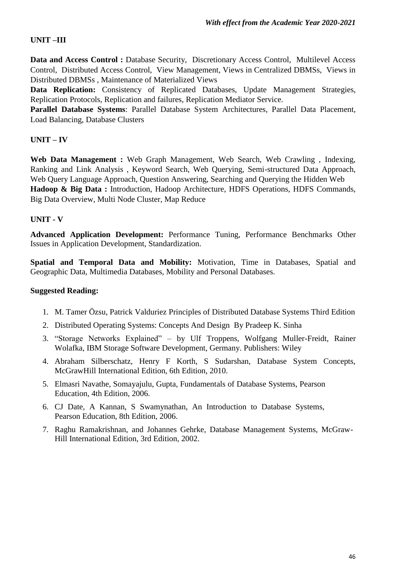# **UNIT –III**

**Data and Access Control :** Database Security, Discretionary Access Control, Multilevel Access Control, Distributed Access Control, View Management, Views in Centralized DBMSs, Views in Distributed DBMSs , Maintenance of Materialized Views

**Data Replication:** Consistency of Replicated Databases, Update Management Strategies, Replication Protocols, Replication and failures, Replication Mediator Service.

**Parallel Database Systems**: Parallel Database System Architectures, Parallel Data Placement, Load Balancing, Database Clusters

# **UNIT – IV**

**Web Data Management :** Web Graph Management, Web Search, Web Crawling , Indexing, Ranking and Link Analysis , Keyword Search, Web Querying, Semi-structured Data Approach, Web Query Language Approach, Question Answering, Searching and Querying the Hidden Web **Hadoop & Big Data :** Introduction, Hadoop Architecture, HDFS Operations, HDFS Commands, Big Data Overview, Multi Node Cluster, Map Reduce

# **UNIT - V**

**Advanced Application Development:** Performance Tuning, Performance Benchmarks Other Issues in Application Development, Standardization.

**Spatial and Temporal Data and Mobility:** Motivation, Time in Databases, Spatial and Geographic Data, Multimedia Databases, Mobility and Personal Databases.

- 1. M. Tamer Özsu, Patrick Valduriez Principles of Distributed Database Systems Third Edition
- 2. Distributed Operating Systems: Concepts And Design By Pradeep K. Sinha
- 3. "Storage Networks Explained" by Ulf Troppens, Wolfgang Muller-Freidt, Rainer Wolafka, IBM Storage Software Development, Germany. Publishers: Wiley
- 4. Abraham Silberschatz, Henry F Korth, S Sudarshan, Database System Concepts, McGrawHill International Edition, 6th Edition, 2010.
- 5. Elmasri Navathe, Somayajulu, Gupta, Fundamentals of Database Systems, Pearson Education, 4th Edition, 2006.
- 6. CJ Date, A Kannan, S Swamynathan, An Introduction to Database Systems, Pearson Education, 8th Edition, 2006.
- 7. Raghu Ramakrishnan, and Johannes Gehrke, Database Management Systems, McGraw-Hill International Edition, 3rd Edition, 2002.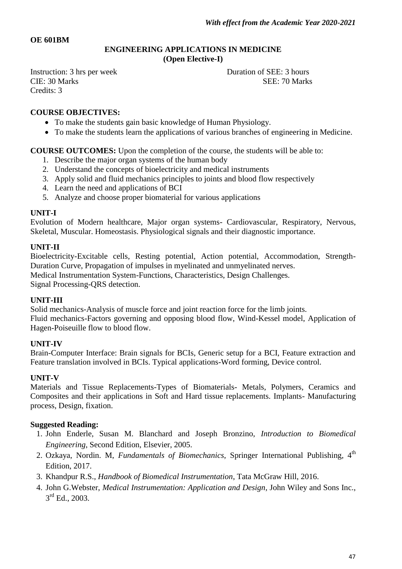#### **OE 601BM**

#### **ENGINEERING APPLICATIONS IN MEDICINE (Open Elective-I)**

Instruction: 3 hrs per week Duration of SEE: 3 hours CIE: 30 Marks SEE: 70 Marks Credits: 3

#### **COURSE OBJECTIVES:**

- To make the students gain basic knowledge of Human Physiology.
- To make the students learn the applications of various branches of engineering in Medicine.

**COURSE OUTCOMES:** Upon the completion of the course, the students will be able to:

- 1. Describe the major organ systems of the human body
- 2. Understand the concepts of bioelectricity and medical instruments
- 3. Apply solid and fluid mechanics principles to joints and blood flow respectively
- 4. Learn the need and applications of BCI
- 5. Analyze and choose proper biomaterial for various applications

#### **UNIT-I**

Evolution of Modern healthcare, Major organ systems- Cardiovascular, Respiratory, Nervous, Skeletal, Muscular. Homeostasis. Physiological signals and their diagnostic importance.

#### **UNIT-II**

Bioelectricity-Excitable cells, Resting potential, Action potential, Accommodation, Strength-Duration Curve, Propagation of impulses in myelinated and unmyelinated nerves. Medical Instrumentation System-Functions, Characteristics, Design Challenges. Signal Processing-QRS detection.

#### **UNIT-III**

Solid mechanics-Analysis of muscle force and joint reaction force for the limb joints. Fluid mechanics-Factors governing and opposing blood flow, Wind-Kessel model, Application of Hagen-Poiseuille flow to blood flow.

# **UNIT-IV**

Brain-Computer Interface: Brain signals for BCIs, Generic setup for a BCI, Feature extraction and Feature translation involved in BCIs. Typical applications-Word forming, Device control.

#### **UNIT-V**

Materials and Tissue Replacements-Types of Biomaterials- Metals, Polymers, Ceramics and Composites and their applications in Soft and Hard tissue replacements. Implants- Manufacturing process, Design, fixation.

- 1. John Enderle, Susan M. Blanchard and Joseph Bronzino, *Introduction to Biomedical Engineering*, Second Edition, Elsevier, 2005.
- 2. Ozkaya, Nordin. M, *Fundamentals of Biomechanics*, Springer International Publishing. 4<sup>th</sup> Edition, 2017.
- 3. Khandpur R.S., *Handbook of Biomedical Instrumentation*, Tata McGraw Hill, 2016.
- 4. John G.Webster, *Medical Instrumentation: Application and Design*, John Wiley and Sons Inc.,  $3^{\text{rd}}$  Ed., 2003.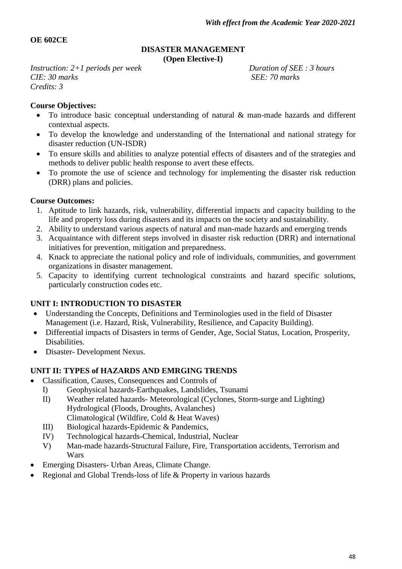# **OE 602CE**

#### **DISASTER MANAGEMENT (Open Elective-I)**

*Instruction: 2+1 periods per week Duration of SEE : 3 hours CIE: 30 marks SEE: 70 marks Credits: 3*

# **Course Objectives:**

- To introduce basic conceptual understanding of natural & man-made hazards and different contextual aspects.
- To develop the knowledge and understanding of the International and national strategy for disaster reduction (UN-ISDR)
- To ensure skills and abilities to analyze potential effects of disasters and of the strategies and methods to deliver public health response to avert these effects.
- To promote the use of science and technology for implementing the disaster risk reduction (DRR) plans and policies.

# **Course Outcomes:**

- 1. Aptitude to link hazards, risk, vulnerability, differential impacts and capacity building to the life and property loss during disasters and its impacts on the society and sustainability.
- 2. Ability to understand various aspects of natural and man-made hazards and emerging trends
- 3. Acquaintance with different steps involved in disaster risk reduction (DRR) and international initiatives for prevention, mitigation and preparedness.
- 4. Knack to appreciate the national policy and role of individuals, communities, and government organizations in disaster management.
- 5. Capacity to identifying current technological constraints and hazard specific solutions, particularly construction codes etc.

# **UNIT I: INTRODUCTION TO DISASTER**

- Understanding the Concepts, Definitions and Terminologies used in the field of Disaster Management (i.e. Hazard, Risk, Vulnerability, Resilience, and Capacity Building).
- Differential impacts of Disasters in terms of Gender, Age, Social Status, Location, Prosperity, Disabilities.
- Disaster- Development Nexus.

# **UNIT II: TYPES of HAZARDS AND EMRGING TRENDS**

- Classification, Causes, Consequences and Controls of
	- I) Geophysical hazards-Earthquakes, Landslides, Tsunami
	- II) Weather related hazards- Meteorological (Cyclones, Storm-surge and Lighting) Hydrological (Floods, Droughts, Avalanches) Climatological (Wildfire, Cold & Heat Waves)
	- III) Biological hazards-Epidemic & Pandemics,
	- IV) Technological hazards-Chemical, Industrial, Nuclear
	- V) Man-made hazards-Structural Failure, Fire, Transportation accidents, Terrorism and Wars
- Emerging Disasters- Urban Areas, Climate Change.
- Regional and Global Trends-loss of life & Property in various hazards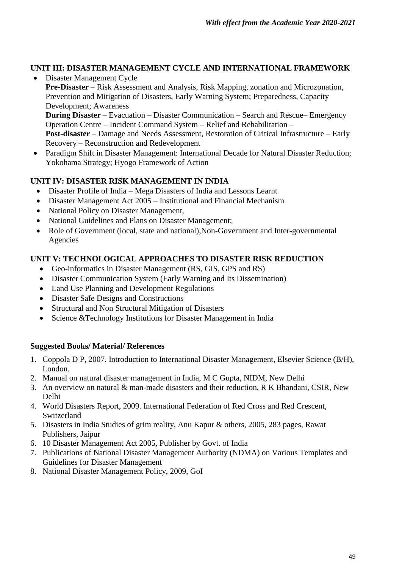# **UNIT III: DISASTER MANAGEMENT CYCLE AND INTERNATIONAL FRAMEWORK**

- Disaster Management Cycle **Pre-Disaster** – Risk Assessment and Analysis, Risk Mapping, zonation and Microzonation, Prevention and Mitigation of Disasters, Early Warning System; Preparedness, Capacity Development; Awareness **During Disaster** – Evacuation – Disaster Communication – Search and Rescue– Emergency Operation Centre – Incident Command System – Relief and Rehabilitation – **Post-disaster** – Damage and Needs Assessment, Restoration of Critical Infrastructure – Early Recovery – Reconstruction and Redevelopment
- Paradigm Shift in Disaster Management: International Decade for Natural Disaster Reduction; Yokohama Strategy; Hyogo Framework of Action

# **UNIT IV: DISASTER RISK MANAGEMENT IN INDIA**

- Disaster Profile of India Mega Disasters of India and Lessons Learnt
- Disaster Management Act 2005 Institutional and Financial Mechanism
- National Policy on Disaster Management,
- National Guidelines and Plans on Disaster Management;
- Role of Government (local, state and national), Non-Government and Inter-governmental Agencies

# **UNIT V: TECHNOLOGICAL APPROACHES TO DISASTER RISK REDUCTION**

- Geo-informatics in Disaster Management (RS, GIS, GPS and RS)
- Disaster Communication System (Early Warning and Its Dissemination)
- Land Use Planning and Development Regulations
- Disaster Safe Designs and Constructions
- Structural and Non Structural Mitigation of Disasters
- Science &Technology Institutions for Disaster Management in India

# **Suggested Books/ Material/ References**

- 1. Coppola D P, 2007. Introduction to International Disaster Management, Elsevier Science (B/H), London.
- 2. Manual on natural disaster management in India, M C Gupta, NIDM, New Delhi
- 3. An overview on natural & man-made disasters and their reduction, R K Bhandani, CSIR, New Delhi
- 4. World Disasters Report, 2009. International Federation of Red Cross and Red Crescent, Switzerland
- 5. Disasters in India Studies of grim reality, Anu Kapur & others, 2005, 283 pages, Rawat Publishers, Jaipur
- 6. 10 Disaster Management Act 2005, Publisher by Govt. of India
- 7. Publications of National Disaster Management Authority (NDMA) on Various Templates and Guidelines for Disaster Management
- 8. National Disaster Management Policy, 2009, GoI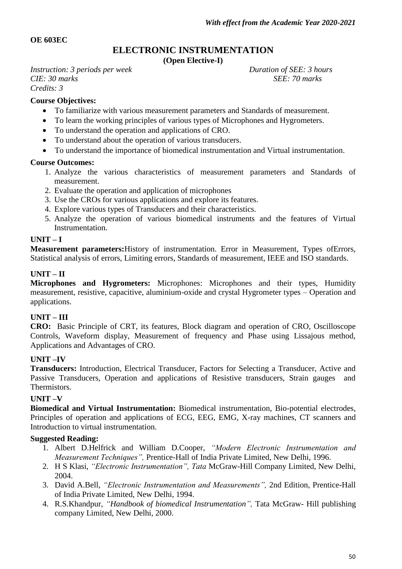#### **OE 603EC**

# **ELECTRONIC INSTRUMENTATION**

**(Open Elective-I)**

*Instruction: 3 periods per week Duration of SEE: 3 hours CIE: 30 marks SEE: 70 marks Credits: 3*

#### **Course Objectives:**

- To familiarize with various measurement parameters and Standards of measurement.
- To learn the working principles of various types of Microphones and Hygrometers.
- To understand the operation and applications of CRO.
- To understand about the operation of various transducers.
- To understand the importance of biomedical instrumentation and Virtual instrumentation.

#### **Course Outcomes:**

- 1. Analyze the various characteristics of measurement parameters and Standards of measurement.
- 2. Evaluate the operation and application of microphones
- 3. Use the CROs for various applications and explore its features.
- 4. Explore various types of Transducers and their characteristics.
- 5. Analyze the operation of various biomedical instruments and the features of Virtual Instrumentation.

#### **UNIT – I**

**Measurement parameters:**History of instrumentation. Error in Measurement, Types ofErrors, Statistical analysis of errors, Limiting errors, Standards of measurement, IEEE and ISO standards.

#### **UNIT – II**

**Microphones and Hygrometers:** Microphones: Microphones and their types, Humidity measurement, resistive, capacitive, aluminium-oxide and crystal Hygrometer types – Operation and applications.

#### **UNIT – III**

**CRO:** Basic Principle of CRT, its features, Block diagram and operation of CRO, Oscilloscope Controls, Waveform display, Measurement of frequency and Phase using Lissajous method, Applications and Advantages of CRO.

#### **UNIT –IV**

**Transducers:** Introduction, Electrical Transducer, Factors for Selecting a Transducer, Active and Passive Transducers, Operation and applications of Resistive transducers, Strain gauges and Thermistors.

#### **UNIT –V**

**Biomedical and Virtual Instrumentation:** Biomedical instrumentation, Bio-potential electrodes, Principles of operation and applications of ECG, EEG, EMG, X-ray machines, CT scanners and Introduction to virtual instrumentation.

- 1. Albert D.Helfrick and William D.Cooper, *"Modern Electronic Instrumentation and Measurement Techniques",* Prentice-Hall of India Private Limited, New Delhi, 1996.
- 2. H S Klasi, *"Electronic Instrumentation", Tata* McGraw-Hill Company Limited, New Delhi, 2004.
- 3. David A.Bell, *"Electronic Instrumentation and Measurements",* 2nd Edition, Prentice-Hall of India Private Limited, New Delhi, 1994.
- 4. R.S.Khandpur, *"Handbook of biomedical Instrumentation",* Tata McGraw- Hill publishing company Limited, New Delhi, 2000.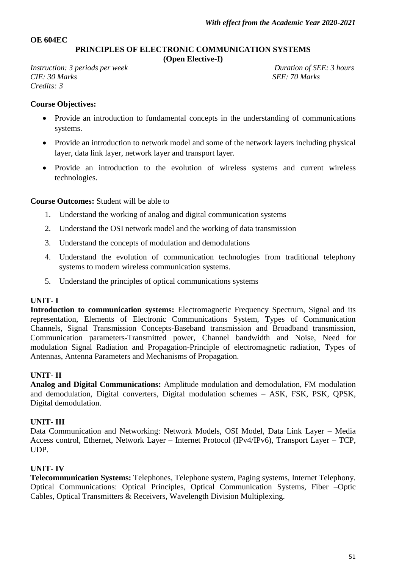#### **OE 604EC**

**PRINCIPLES OF ELECTRONIC COMMUNICATION SYSTEMS** 

**(Open Elective-I)**

*Instruction: 3 periods per week* Duration of SEE: 3 hours *CIE:* 30 *Marks* SEE: 70 *Marks* SEE: 70 *Marks Credits: 3*

#### **Course Objectives:**

- Provide an introduction to fundamental concepts in the understanding of communications systems.
- Provide an introduction to network model and some of the network layers including physical layer, data link layer, network layer and transport layer.
- Provide an introduction to the evolution of wireless systems and current wireless technologies.

**Course Outcomes:** Student will be able to

- 1. Understand the working of analog and digital communication systems
- 2. Understand the OSI network model and the working of data transmission
- 3. Understand the concepts of modulation and demodulations
- 4. Understand the evolution of communication technologies from traditional telephony systems to modern wireless communication systems.
- 5. Understand the principles of optical communications systems

# **UNIT- I**

**Introduction to communication systems:** Electromagnetic Frequency Spectrum, Signal and its representation, Elements of Electronic Communications System, Types of Communication Channels, Signal Transmission Concepts-Baseband transmission and Broadband transmission, Communication parameters-Transmitted power, Channel bandwidth and Noise, Need for modulation Signal Radiation and Propagation-Principle of electromagnetic radiation, Types of Antennas, Antenna Parameters and Mechanisms of Propagation.

# **UNIT- II**

**Analog and Digital Communications:** Amplitude modulation and demodulation, FM modulation and demodulation, Digital converters, Digital modulation schemes – ASK, FSK, PSK, QPSK, Digital demodulation.

#### **UNIT- III**

Data Communication and Networking: Network Models, OSI Model, Data Link Layer – Media Access control, Ethernet, Network Layer – Internet Protocol (IPv4/IPv6), Transport Layer – TCP, UDP.

# **UNIT- IV**

**Telecommunication Systems:** Telephones, Telephone system, Paging systems, Internet Telephony. Optical Communications: Optical Principles, Optical Communication Systems, Fiber –Optic Cables, Optical Transmitters & Receivers, Wavelength Division Multiplexing.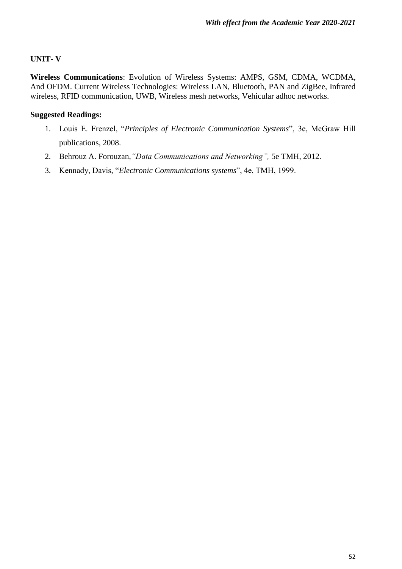# **UNIT- V**

**Wireless Communications**: Evolution of Wireless Systems: AMPS, GSM, CDMA, WCDMA, And OFDM. Current Wireless Technologies: Wireless LAN, Bluetooth, PAN and ZigBee, Infrared wireless, RFID communication, UWB, Wireless mesh networks, Vehicular adhoc networks.

- 1. Louis E. Frenzel, "*Principles of Electronic Communication Systems*", 3e, McGraw Hill publications, 2008.
- 2. Behrouz A. Forouzan,*"Data Communications and Networking",* 5e TMH, 2012.
- 3. Kennady, Davis, "*Electronic Communications systems*", 4e, TMH, 1999.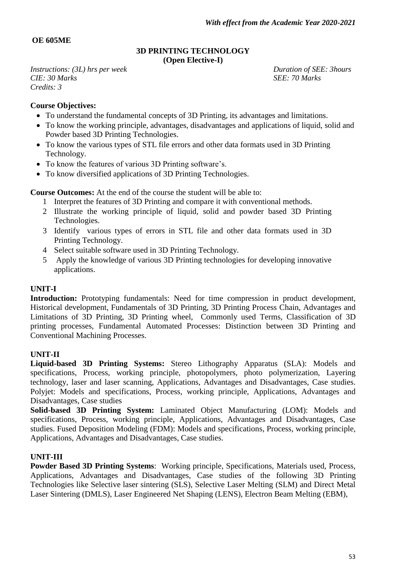# **OE 605ME**

#### **3D PRINTING TECHNOLOGY (Open Elective-I)**

*Instructions: (3L) hrs per week Duration of SEE: 3hours CIE: 30 Marks SEE: 70 Marks Credits: 3*

# **Course Objectives:**

- To understand the fundamental concepts of 3D Printing, its advantages and limitations.
- To know the working principle, advantages, disadvantages and applications of liquid, solid and Powder based 3D Printing Technologies.
- To know the various types of STL file errors and other data formats used in 3D Printing Technology.
- To know the features of various 3D Printing software's.
- To know diversified applications of 3D Printing Technologies.

**Course Outcomes:** At the end of the course the student will be able to:

- 1 Interpret the features of 3D Printing and compare it with conventional methods.
- 2 Illustrate the working principle of liquid, solid and powder based 3D Printing Technologies.
- 3 Identify various types of errors in STL file and other data formats used in 3D Printing Technology.
- 4 Select suitable software used in 3D Printing Technology.
- 5 Apply the knowledge of various 3D Printing technologies for developing innovative applications.

#### **UNIT-I**

**Introduction:** Prototyping fundamentals: Need for time compression in product development, Historical development, Fundamentals of 3D Printing, 3D Printing Process Chain, Advantages and Limitations of 3D Printing, 3D Printing wheel, Commonly used Terms, Classification of 3D printing processes, Fundamental Automated Processes: Distinction between 3D Printing and Conventional Machining Processes.

#### **UNIT-II**

**Liquid-based 3D Printing Systems:** Stereo Lithography Apparatus (SLA): Models and specifications, Process, working principle, photopolymers, photo polymerization, Layering technology, laser and laser scanning, Applications, Advantages and Disadvantages, Case studies. Polyjet: Models and specifications, Process, working principle, Applications, Advantages and Disadvantages, Case studies

**Solid-based 3D Printing System:** Laminated Object Manufacturing (LOM): Models and specifications, Process, working principle, Applications, Advantages and Disadvantages, Case studies. Fused Deposition Modeling (FDM): Models and specifications, Process, working principle, Applications, Advantages and Disadvantages, Case studies.

#### **UNIT-III**

**Powder Based 3D Printing Systems**: Working principle, Specifications, Materials used, Process, Applications, Advantages and Disadvantages, Case studies of the following 3D Printing Technologies like Selective laser sintering (SLS), Selective Laser Melting (SLM) and Direct Metal Laser Sintering (DMLS), Laser Engineered Net Shaping (LENS), Electron Beam Melting (EBM),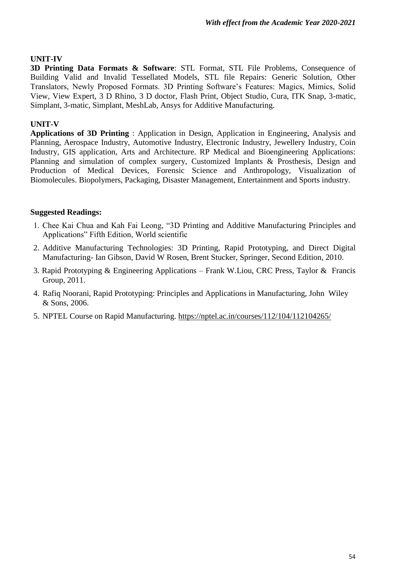# **UNIT-IV**

**3D Printing Data Formats & Software**: STL Format, STL File Problems, Consequence of Building Valid and Invalid Tessellated Models, STL file Repairs: Generic Solution, Other Translators, Newly Proposed Formats. 3D Printing Software"s Features: Magics, Mimics, Solid View, View Expert, 3 D Rhino, 3 D doctor, Flash Print, Object Studio, Cura, ITK Snap, 3-matic, Simplant, 3-matic, Simplant, MeshLab, Ansys for Additive Manufacturing.

# **UNIT-V**

**Applications of 3D Printing** : Application in Design, Application in Engineering, Analysis and Planning, Aerospace Industry, Automotive Industry, Electronic Industry, Jewellery Industry, Coin Industry, GIS application, Arts and Architecture. RP Medical and Bioengineering Applications: Planning and simulation of complex surgery, Customized Implants & Prosthesis, Design and Production of Medical Devices, Forensic Science and Anthropology, Visualization of Biomolecules. Biopolymers, Packaging, Disaster Management, Entertainment and Sports industry.

- 1. Chee Kai Chua and Kah Fai Leong, "3D Printing and Additive Manufacturing Principles and Applications" Fifth Edition, World scientific
- 2. Additive Manufacturing Technologies: 3D Printing, Rapid Prototyping, and Direct Digital Manufacturing- Ian Gibson, David W Rosen, Brent Stucker, Springer, Second Edition, 2010.
- 3. Rapid Prototyping & Engineering Applications Frank W.Liou, CRC Press, Taylor & Francis Group, 2011.
- 4. Rafiq Noorani, Rapid Prototyping: Principles and Applications in Manufacturing, John Wiley & Sons, 2006.
- 5. NPTEL Course on Rapid Manufacturing.<https://nptel.ac.in/courses/112/104/112104265/>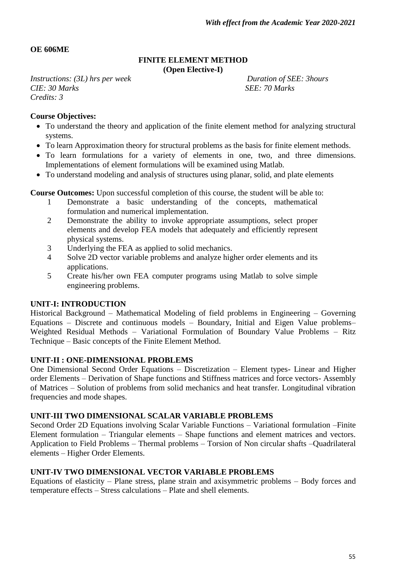#### **OE 606ME**

#### **FINITE ELEMENT METHOD (Open Elective-I)**

*Instructions: (3L) hrs per week Duration of SEE: 3hours CIE:* 30 *Marks* SEE: 70 *Marks Credits: 3*

#### **Course Objectives:**

- To understand the theory and application of the finite element method for analyzing structural systems.
- To learn Approximation theory for structural problems as the basis for finite element methods.
- To learn formulations for a variety of elements in one, two, and three dimensions. Implementations of element formulations will be examined using Matlab.
- To understand modeling and analysis of structures using planar, solid, and plate elements

**Course Outcomes:** Upon successful completion of this course, the student will be able to:

- 1 Demonstrate a basic understanding of the concepts, mathematical formulation and numerical implementation.
- 2 Demonstrate the ability to invoke appropriate assumptions, select proper elements and develop FEA models that adequately and efficiently represent physical systems.
- 3 Underlying the FEA as applied to solid mechanics.
- 4 Solve 2D vector variable problems and analyze higher order elements and its applications.
- 5 Create his/her own FEA computer programs using Matlab to solve simple engineering problems.

# **UNIT-I: INTRODUCTION**

Historical Background – Mathematical Modeling of field problems in Engineering – Governing Equations – Discrete and continuous models – Boundary, Initial and Eigen Value problems– Weighted Residual Methods – Variational Formulation of Boundary Value Problems – Ritz Technique – Basic concepts of the Finite Element Method.

#### **UNIT-II : ONE-DIMENSIONAL PROBLEMS**

One Dimensional Second Order Equations – Discretization – Element types- Linear and Higher order Elements – Derivation of Shape functions and Stiffness matrices and force vectors- Assembly of Matrices – Solution of problems from solid mechanics and heat transfer. Longitudinal vibration frequencies and mode shapes.

#### **UNIT-III TWO DIMENSIONAL SCALAR VARIABLE PROBLEMS**

Second Order 2D Equations involving Scalar Variable Functions – Variational formulation –Finite Element formulation – Triangular elements – Shape functions and element matrices and vectors. Application to Field Problems – Thermal problems – Torsion of Non circular shafts –Quadrilateral elements – Higher Order Elements.

# **UNIT-IV TWO DIMENSIONAL VECTOR VARIABLE PROBLEMS**

Equations of elasticity – Plane stress, plane strain and axisymmetric problems – Body forces and temperature effects – Stress calculations – Plate and shell elements.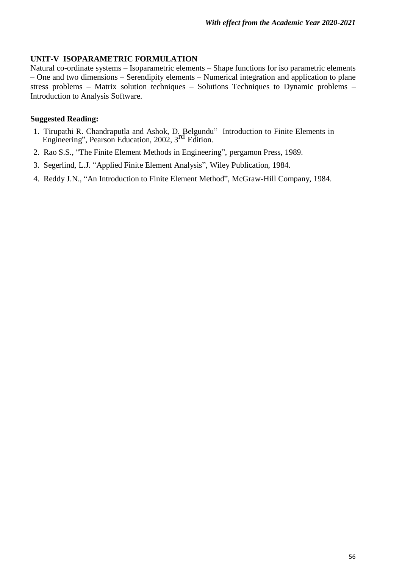# **UNIT-V ISOPARAMETRIC FORMULATION**

Natural co-ordinate systems – Isoparametric elements – Shape functions for iso parametric elements – One and two dimensions – Serendipity elements – Numerical integration and application to plane stress problems – Matrix solution techniques – Solutions Techniques to Dynamic problems – Introduction to Analysis Software.

- 1. Tirupathi R. Chandraputla and Ashok, D. Belgundu" Introduction to Finite Elements in Engineering", Pearson Education, 2002, 3 rd Edition.
- 2. Rao S.S., "The Finite Element Methods in Engineering", pergamon Press, 1989.
- 3. Segerlind, L.J. "Applied Finite Element Analysis", Wiley Publication, 1984.
- 4. Reddy J.N., "An Introduction to Finite Element Method", McGraw-Hill Company, 1984.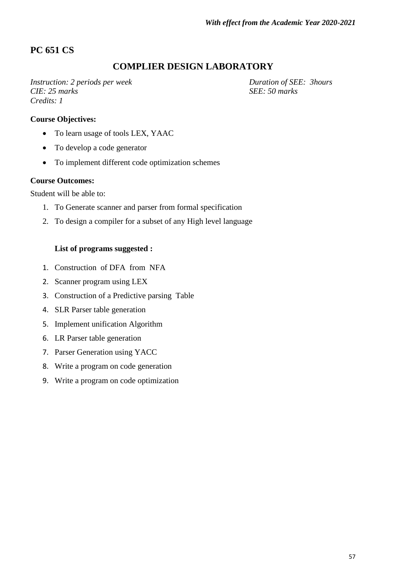# **PC 651 CS**

# **COMPLIER DESIGN LABORATORY**

*Instruction: 2 periods per week Duration of SEE: 3hours CIE: 25 marks SEE: 50 marks Credits: 1*

# **Course Objectives:**

- To learn usage of tools LEX, YAAC
- To develop a code generator
- To implement different code optimization schemes

#### **Course Outcomes:**

Student will be able to:

- 1. To Generate scanner and parser from formal specification
- 2. To design a compiler for a subset of any High level language

#### **List of programs suggested :**

- 1. Construction of DFA from NFA
- 2. Scanner program using LEX
- 3. Construction of a Predictive parsing Table
- 4. SLR Parser table generation
- 5. Implement unification Algorithm
- 6. LR Parser table generation
- 7. Parser Generation using YACC
- 8. Write a program on code generation
- 9. Write a program on code optimization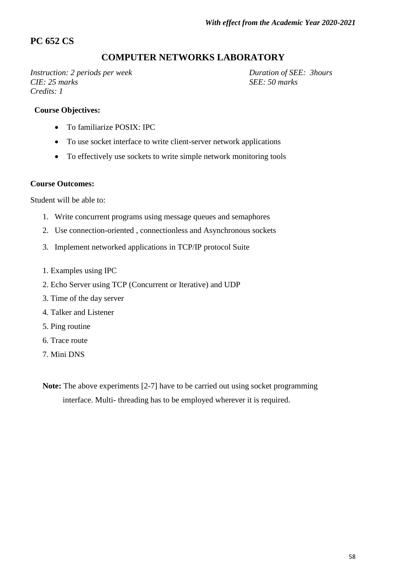# **PC 652 CS**

# **COMPUTER NETWORKS LABORATORY**

*Instruction: 2 periods per week Duration of SEE: 3hours CIE: 25 marks SEE: 50 marks Credits: 1*

#### **Course Objectives:**

- To familiarize POSIX: IPC
- To use socket interface to write client-server network applications
- To effectively use sockets to write simple network monitoring tools

#### **Course Outcomes:**

Student will be able to:

- 1. Write concurrent programs using message queues and semaphores
- 2. Use connection-oriented , connectionless and Asynchronous sockets
- 3. Implement networked applications in TCP/IP protocol Suite
- 1. Examples using IPC
- 2. Echo Server using TCP (Concurrent or Iterative) and UDP
- 3. Time of the day server
- 4. Talker and Listener
- 5. Ping routine
- 6. Trace route
- 7. Mini DNS
- **Note:** The above experiments [2-7] have to be carried out using socket programming interface. Multi- threading has to be employed wherever it is required.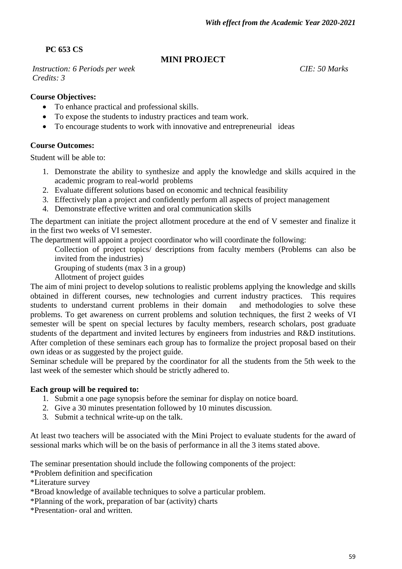**PC 653 CS**

# **MINI PROJECT**

*Instruction: 6 Periods per week CIE: 50 Marks Credits: 3*

# **Course Objectives:**

- To enhance practical and professional skills.
- To expose the students to industry practices and team work.
- To encourage students to work with innovative and entrepreneurial ideas

# **Course Outcomes:**

Student will be able to:

- 1. Demonstrate the ability to synthesize and apply the knowledge and skills acquired in the academic program to real-world problems
- 2. Evaluate different solutions based on economic and technical feasibility
- 3. Effectively plan a project and confidently perform all aspects of project management
- 4. Demonstrate effective written and oral communication skills

The department can initiate the project allotment procedure at the end of V semester and finalize it in the first two weeks of VI semester.

The department will appoint a project coordinator who will coordinate the following:

Collection of project topics/ descriptions from faculty members (Problems can also be invited from the industries)

Grouping of students (max 3 in a group)

Allotment of project guides

The aim of mini project to develop solutions to realistic problems applying the knowledge and skills obtained in different courses, new technologies and current industry practices. This requires students to understand current problems in their domain and methodologies to solve these problems. To get awareness on current problems and solution techniques, the first 2 weeks of VI semester will be spent on special lectures by faculty members, research scholars, post graduate students of the department and invited lectures by engineers from industries and R&D institutions. After completion of these seminars each group has to formalize the project proposal based on their own ideas or as suggested by the project guide.

Seminar schedule will be prepared by the coordinator for all the students from the 5th week to the last week of the semester which should be strictly adhered to.

# **Each group will be required to:**

- 1. Submit a one page synopsis before the seminar for display on notice board.
- 2. Give a 30 minutes presentation followed by 10 minutes discussion.
- 3. Submit a technical write-up on the talk.

At least two teachers will be associated with the Mini Project to evaluate students for the award of sessional marks which will be on the basis of performance in all the 3 items stated above.

The seminar presentation should include the following components of the project:

\*Problem definition and specification

\*Literature survey

\*Broad knowledge of available techniques to solve a particular problem.

\*Planning of the work, preparation of bar (activity) charts

\*Presentation- oral and written.